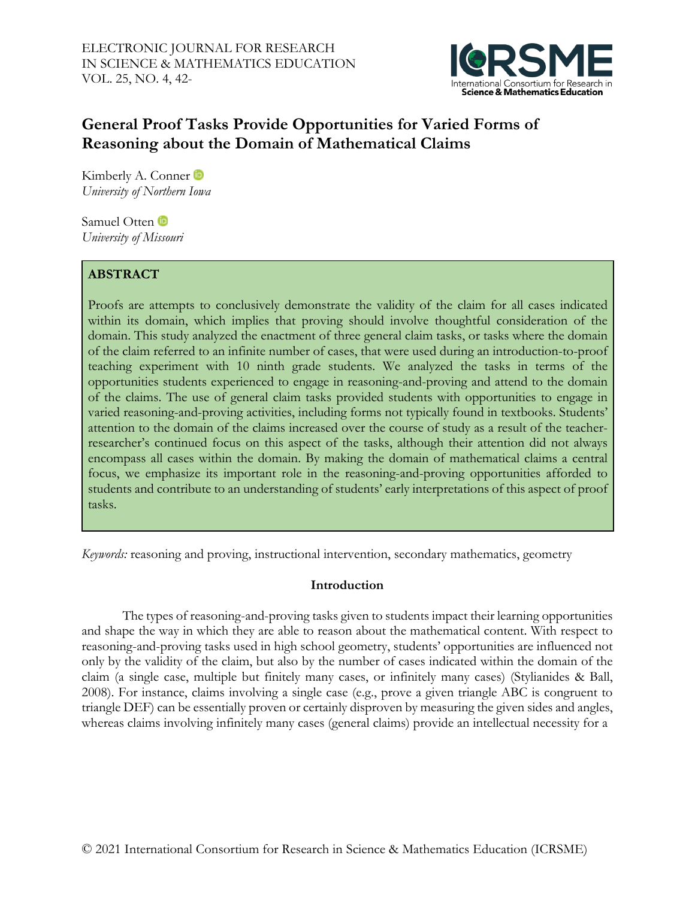

# **General Proof Tasks Provide Opportunities for Varied Forms of Reasoning about the Domain of Mathematical Claims**

Kimberly A. Conner *University of Northern Iowa*

Samuel Otten **D** *University of Missouri*

# **ABSTRACT**

Proofs are attempts to conclusively demonstrate the validity of the claim for all cases indicated within its domain, which implies that proving should involve thoughtful consideration of the domain. This study analyzed the enactment of three general claim tasks, or tasks where the domain of the claim referred to an infinite number of cases, that were used during an introduction-to-proof teaching experiment with 10 ninth grade students. We analyzed the tasks in terms of the opportunities students experienced to engage in reasoning-and-proving and attend to the domain of the claims. The use of general claim tasks provided students with opportunities to engage in varied reasoning-and-proving activities, including forms not typically found in textbooks. Students' attention to the domain of the claims increased over the course of study as a result of the teacherresearcher's continued focus on this aspect of the tasks, although their attention did not always encompass all cases within the domain. By making the domain of mathematical claims a central focus, we emphasize its important role in the reasoning-and-proving opportunities afforded to students and contribute to an understanding of students' early interpretations of this aspect of proof tasks.

*Keywords:* reasoning and proving, instructional intervention, secondary mathematics, geometry

# **Introduction**

The types of reasoning-and-proving tasks given to students impact their learning opportunities and shape the way in which they are able to reason about the mathematical content. With respect to reasoning-and-proving tasks used in high school geometry, students' opportunities are influenced not only by the validity of the claim, but also by the number of cases indicated within the domain of the claim (a single case, multiple but finitely many cases, or infinitely many cases) (Stylianides & Ball, 2008). For instance, claims involving a single case (e.g., prove a given triangle ABC is congruent to triangle DEF) can be essentially proven or certainly disproven by measuring the given sides and angles, whereas claims involving infinitely many cases (general claims) provide an intellectual necessity for a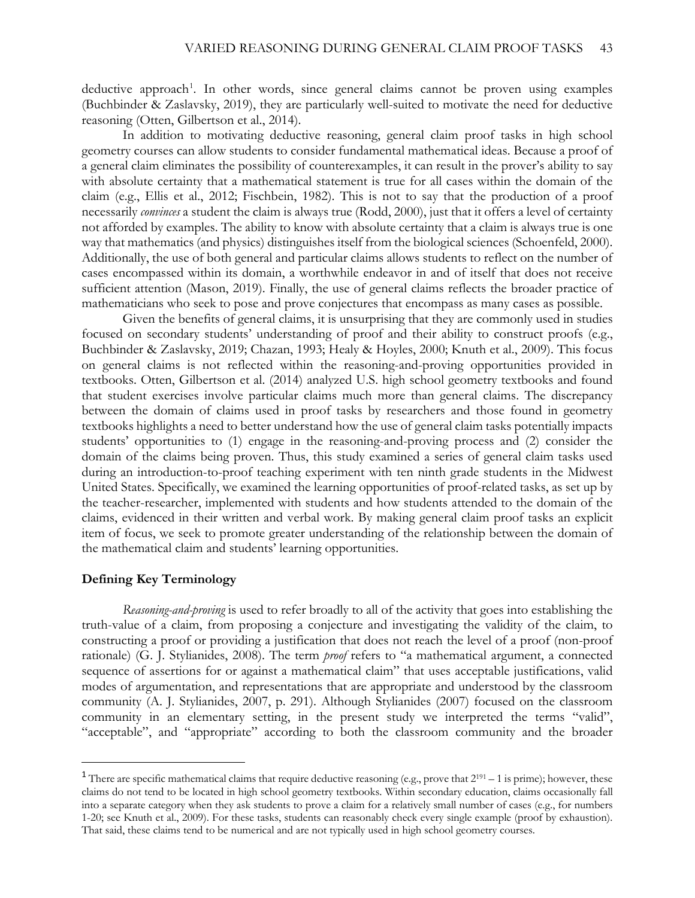deductive approach<sup>[1](#page-1-0)</sup>. In other words, since general claims cannot be proven using examples (Buchbinder & Zaslavsky, 2019), they are particularly well-suited to motivate the need for deductive reasoning (Otten, Gilbertson et al., 2014).

In addition to motivating deductive reasoning, general claim proof tasks in high school geometry courses can allow students to consider fundamental mathematical ideas. Because a proof of a general claim eliminates the possibility of counterexamples, it can result in the prover's ability to say with absolute certainty that a mathematical statement is true for all cases within the domain of the claim (e.g., Ellis et al., 2012; Fischbein, 1982). This is not to say that the production of a proof necessarily *convinces* a student the claim is always true (Rodd, 2000), just that it offers a level of certainty not afforded by examples. The ability to know with absolute certainty that a claim is always true is one way that mathematics (and physics) distinguishes itself from the biological sciences (Schoenfeld, 2000). Additionally, the use of both general and particular claims allows students to reflect on the number of cases encompassed within its domain, a worthwhile endeavor in and of itself that does not receive sufficient attention (Mason, 2019). Finally, the use of general claims reflects the broader practice of mathematicians who seek to pose and prove conjectures that encompass as many cases as possible.

Given the benefits of general claims, it is unsurprising that they are commonly used in studies focused on secondary students' understanding of proof and their ability to construct proofs (e.g., Buchbinder & Zaslavsky, 2019; Chazan, 1993; Healy & Hoyles, 2000; Knuth et al., 2009). This focus on general claims is not reflected within the reasoning-and-proving opportunities provided in textbooks. Otten, Gilbertson et al. (2014) analyzed U.S. high school geometry textbooks and found that student exercises involve particular claims much more than general claims. The discrepancy between the domain of claims used in proof tasks by researchers and those found in geometry textbooks highlights a need to better understand how the use of general claim tasks potentially impacts students' opportunities to (1) engage in the reasoning-and-proving process and (2) consider the domain of the claims being proven. Thus, this study examined a series of general claim tasks used during an introduction-to-proof teaching experiment with ten ninth grade students in the Midwest United States. Specifically, we examined the learning opportunities of proof-related tasks, as set up by the teacher-researcher, implemented with students and how students attended to the domain of the claims, evidenced in their written and verbal work. By making general claim proof tasks an explicit item of focus, we seek to promote greater understanding of the relationship between the domain of the mathematical claim and students' learning opportunities.

### **Defining Key Terminology**

 $\overline{a}$ 

*Reasoning-and-proving* is used to refer broadly to all of the activity that goes into establishing the truth-value of a claim, from proposing a conjecture and investigating the validity of the claim, to constructing a proof or providing a justification that does not reach the level of a proof (non-proof rationale) (G. J. Stylianides, 2008). The term *proof* refers to "a mathematical argument, a connected sequence of assertions for or against a mathematical claim" that uses acceptable justifications, valid modes of argumentation, and representations that are appropriate and understood by the classroom community (A. J. Stylianides, 2007, p. 291). Although Stylianides (2007) focused on the classroom community in an elementary setting, in the present study we interpreted the terms "valid", "acceptable", and "appropriate" according to both the classroom community and the broader

<span id="page-1-0"></span><sup>&</sup>lt;sup>1</sup> There are specific mathematical claims that require deductive reasoning (e.g., prove that  $2^{191} - 1$  is prime); however, these claims do not tend to be located in high school geometry textbooks. Within secondary education, claims occasionally fall into a separate category when they ask students to prove a claim for a relatively small number of cases (e.g., for numbers 1-20; see Knuth et al., 2009). For these tasks, students can reasonably check every single example (proof by exhaustion). That said, these claims tend to be numerical and are not typically used in high school geometry courses.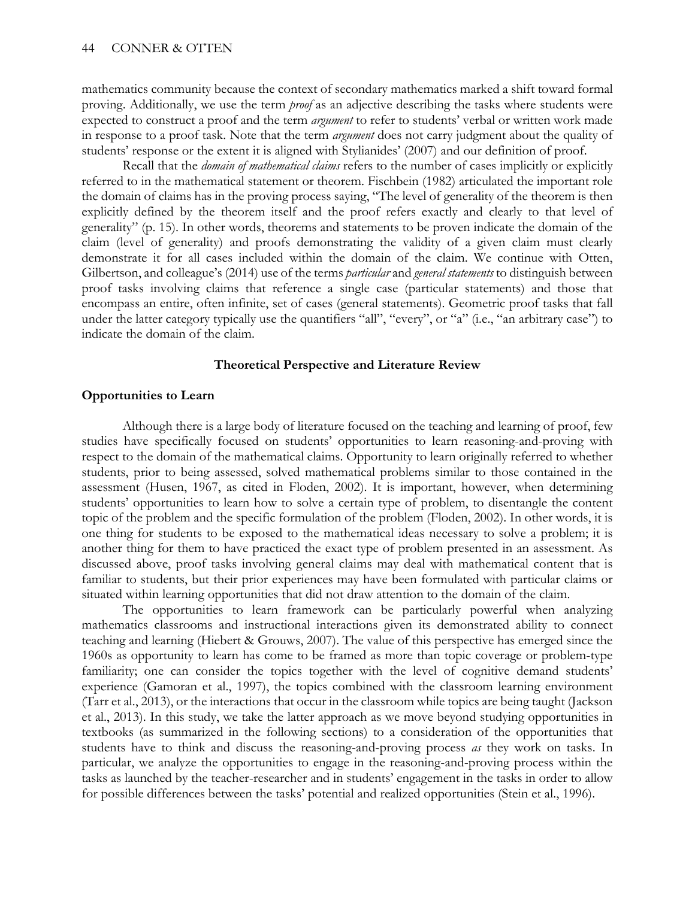mathematics community because the context of secondary mathematics marked a shift toward formal proving. Additionally, we use the term *proof* as an adjective describing the tasks where students were expected to construct a proof and the term *argument* to refer to students' verbal or written work made in response to a proof task. Note that the term *argument* does not carry judgment about the quality of students' response or the extent it is aligned with Stylianides' (2007) and our definition of proof.

Recall that the *domain of mathematical claims* refers to the number of cases implicitly or explicitly referred to in the mathematical statement or theorem. Fischbein (1982) articulated the important role the domain of claims has in the proving process saying, "The level of generality of the theorem is then explicitly defined by the theorem itself and the proof refers exactly and clearly to that level of generality" (p. 15). In other words, theorems and statements to be proven indicate the domain of the claim (level of generality) and proofs demonstrating the validity of a given claim must clearly demonstrate it for all cases included within the domain of the claim. We continue with Otten, Gilbertson, and colleague's (2014) use of the terms *particular* and *general statements* to distinguish between proof tasks involving claims that reference a single case (particular statements) and those that encompass an entire, often infinite, set of cases (general statements). Geometric proof tasks that fall under the latter category typically use the quantifiers "all", "every", or "a" (i.e., "an arbitrary case") to indicate the domain of the claim.

#### **Theoretical Perspective and Literature Review**

#### **Opportunities to Learn**

Although there is a large body of literature focused on the teaching and learning of proof, few studies have specifically focused on students' opportunities to learn reasoning-and-proving with respect to the domain of the mathematical claims. Opportunity to learn originally referred to whether students, prior to being assessed, solved mathematical problems similar to those contained in the assessment (Husen, 1967, as cited in Floden, 2002). It is important, however, when determining students' opportunities to learn how to solve a certain type of problem, to disentangle the content topic of the problem and the specific formulation of the problem (Floden, 2002). In other words, it is one thing for students to be exposed to the mathematical ideas necessary to solve a problem; it is another thing for them to have practiced the exact type of problem presented in an assessment. As discussed above, proof tasks involving general claims may deal with mathematical content that is familiar to students, but their prior experiences may have been formulated with particular claims or situated within learning opportunities that did not draw attention to the domain of the claim.

The opportunities to learn framework can be particularly powerful when analyzing mathematics classrooms and instructional interactions given its demonstrated ability to connect teaching and learning (Hiebert & Grouws, 2007). The value of this perspective has emerged since the 1960s as opportunity to learn has come to be framed as more than topic coverage or problem-type familiarity; one can consider the topics together with the level of cognitive demand students' experience (Gamoran et al., 1997), the topics combined with the classroom learning environment (Tarr et al., 2013), or the interactions that occur in the classroom while topics are being taught (Jackson et al., 2013). In this study, we take the latter approach as we move beyond studying opportunities in textbooks (as summarized in the following sections) to a consideration of the opportunities that students have to think and discuss the reasoning-and-proving process *as* they work on tasks. In particular, we analyze the opportunities to engage in the reasoning-and-proving process within the tasks as launched by the teacher-researcher and in students' engagement in the tasks in order to allow for possible differences between the tasks' potential and realized opportunities (Stein et al., 1996).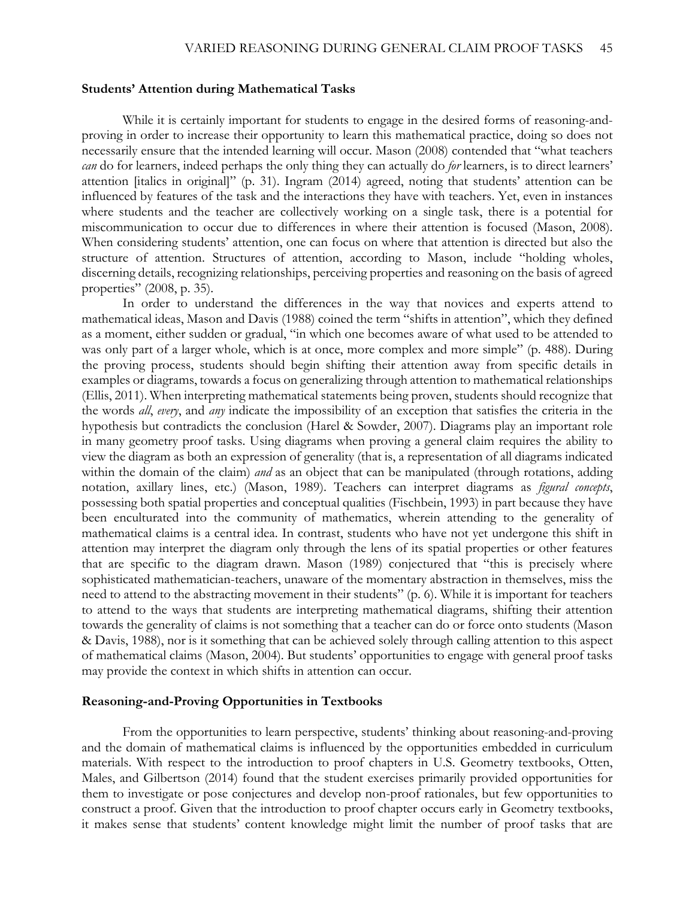### **Students' Attention during Mathematical Tasks**

While it is certainly important for students to engage in the desired forms of reasoning-andproving in order to increase their opportunity to learn this mathematical practice, doing so does not necessarily ensure that the intended learning will occur. Mason (2008) contended that "what teachers *can* do for learners, indeed perhaps the only thing they can actually do *for* learners, is to direct learners' attention [italics in original]" (p. 31). Ingram (2014) agreed, noting that students' attention can be influenced by features of the task and the interactions they have with teachers. Yet, even in instances where students and the teacher are collectively working on a single task, there is a potential for miscommunication to occur due to differences in where their attention is focused (Mason, 2008). When considering students' attention, one can focus on where that attention is directed but also the structure of attention. Structures of attention, according to Mason, include "holding wholes, discerning details, recognizing relationships, perceiving properties and reasoning on the basis of agreed properties" (2008, p. 35).

In order to understand the differences in the way that novices and experts attend to mathematical ideas, Mason and Davis (1988) coined the term "shifts in attention", which they defined as a moment, either sudden or gradual, "in which one becomes aware of what used to be attended to was only part of a larger whole, which is at once, more complex and more simple" (p. 488). During the proving process, students should begin shifting their attention away from specific details in examples or diagrams, towards a focus on generalizing through attention to mathematical relationships (Ellis, 2011). When interpreting mathematical statements being proven, students should recognize that the words *all*, *every*, and *any* indicate the impossibility of an exception that satisfies the criteria in the hypothesis but contradicts the conclusion (Harel & Sowder, 2007). Diagrams play an important role in many geometry proof tasks. Using diagrams when proving a general claim requires the ability to view the diagram as both an expression of generality (that is, a representation of all diagrams indicated within the domain of the claim) *and* as an object that can be manipulated (through rotations, adding notation, axillary lines, etc.) (Mason, 1989). Teachers can interpret diagrams as *figural concepts*, possessing both spatial properties and conceptual qualities (Fischbein, 1993) in part because they have been enculturated into the community of mathematics, wherein attending to the generality of mathematical claims is a central idea. In contrast, students who have not yet undergone this shift in attention may interpret the diagram only through the lens of its spatial properties or other features that are specific to the diagram drawn. Mason (1989) conjectured that "this is precisely where sophisticated mathematician-teachers, unaware of the momentary abstraction in themselves, miss the need to attend to the abstracting movement in their students" (p. 6). While it is important for teachers to attend to the ways that students are interpreting mathematical diagrams, shifting their attention towards the generality of claims is not something that a teacher can do or force onto students (Mason & Davis, 1988), nor is it something that can be achieved solely through calling attention to this aspect of mathematical claims (Mason, 2004). But students' opportunities to engage with general proof tasks may provide the context in which shifts in attention can occur.

#### **Reasoning-and-Proving Opportunities in Textbooks**

From the opportunities to learn perspective, students' thinking about reasoning-and-proving and the domain of mathematical claims is influenced by the opportunities embedded in curriculum materials. With respect to the introduction to proof chapters in U.S. Geometry textbooks, Otten, Males, and Gilbertson (2014) found that the student exercises primarily provided opportunities for them to investigate or pose conjectures and develop non-proof rationales, but few opportunities to construct a proof. Given that the introduction to proof chapter occurs early in Geometry textbooks, it makes sense that students' content knowledge might limit the number of proof tasks that are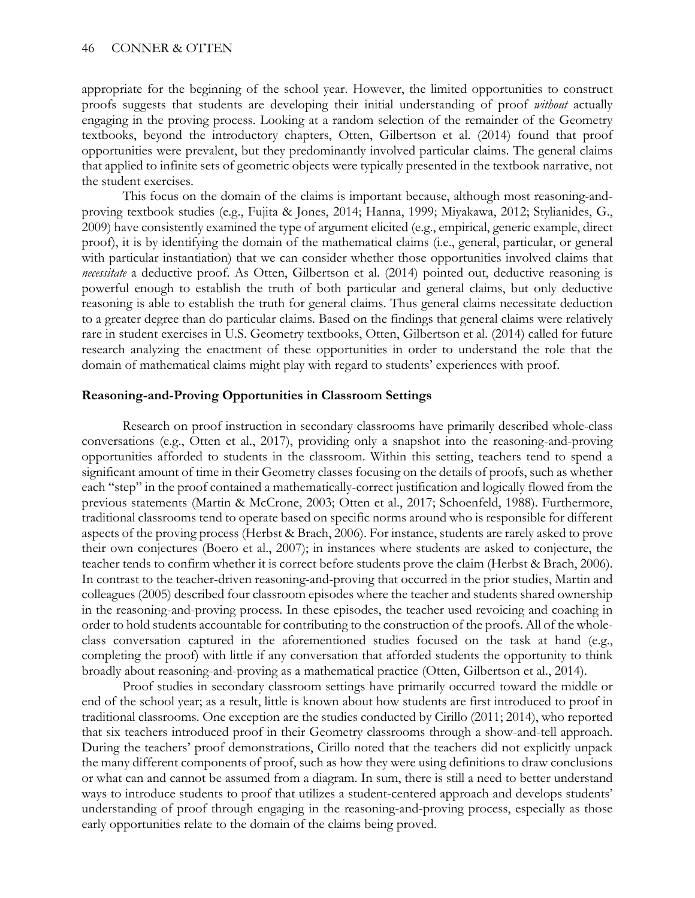appropriate for the beginning of the school year. However, the limited opportunities to construct proofs suggests that students are developing their initial understanding of proof *without* actually engaging in the proving process. Looking at a random selection of the remainder of the Geometry textbooks, beyond the introductory chapters, Otten, Gilbertson et al. (2014) found that proof opportunities were prevalent, but they predominantly involved particular claims. The general claims that applied to infinite sets of geometric objects were typically presented in the textbook narrative, not the student exercises.

This focus on the domain of the claims is important because, although most reasoning-andproving textbook studies (e.g., Fujita & Jones, 2014; Hanna, 1999; Miyakawa, 2012; Stylianides, G., 2009) have consistently examined the type of argument elicited (e.g., empirical, generic example, direct proof), it is by identifying the domain of the mathematical claims (i.e., general, particular, or general with particular instantiation) that we can consider whether those opportunities involved claims that *necessitate* a deductive proof. As Otten, Gilbertson et al. (2014) pointed out, deductive reasoning is powerful enough to establish the truth of both particular and general claims, but only deductive reasoning is able to establish the truth for general claims. Thus general claims necessitate deduction to a greater degree than do particular claims. Based on the findings that general claims were relatively rare in student exercises in U.S. Geometry textbooks, Otten, Gilbertson et al. (2014) called for future research analyzing the enactment of these opportunities in order to understand the role that the domain of mathematical claims might play with regard to students' experiences with proof.

## **Reasoning-and-Proving Opportunities in Classroom Settings**

Research on proof instruction in secondary classrooms have primarily described whole-class conversations (e.g., Otten et al., 2017), providing only a snapshot into the reasoning-and-proving opportunities afforded to students in the classroom. Within this setting, teachers tend to spend a significant amount of time in their Geometry classes focusing on the details of proofs, such as whether each "step" in the proof contained a mathematically-correct justification and logically flowed from the previous statements (Martin & McCrone, 2003; Otten et al., 2017; Schoenfeld, 1988). Furthermore, traditional classrooms tend to operate based on specific norms around who is responsible for different aspects of the proving process (Herbst & Brach, 2006). For instance, students are rarely asked to prove their own conjectures (Boero et al., 2007); in instances where students are asked to conjecture, the teacher tends to confirm whether it is correct before students prove the claim (Herbst & Brach, 2006). In contrast to the teacher-driven reasoning-and-proving that occurred in the prior studies, Martin and colleagues (2005) described four classroom episodes where the teacher and students shared ownership in the reasoning-and-proving process. In these episodes, the teacher used revoicing and coaching in order to hold students accountable for contributing to the construction of the proofs. All of the wholeclass conversation captured in the aforementioned studies focused on the task at hand (e.g., completing the proof) with little if any conversation that afforded students the opportunity to think broadly about reasoning-and-proving as a mathematical practice (Otten, Gilbertson et al., 2014).

Proof studies in secondary classroom settings have primarily occurred toward the middle or end of the school year; as a result, little is known about how students are first introduced to proof in traditional classrooms. One exception are the studies conducted by Cirillo (2011; 2014), who reported that six teachers introduced proof in their Geometry classrooms through a show-and-tell approach. During the teachers' proof demonstrations, Cirillo noted that the teachers did not explicitly unpack the many different components of proof, such as how they were using definitions to draw conclusions or what can and cannot be assumed from a diagram. In sum, there is still a need to better understand ways to introduce students to proof that utilizes a student-centered approach and develops students' understanding of proof through engaging in the reasoning-and-proving process, especially as those early opportunities relate to the domain of the claims being proved.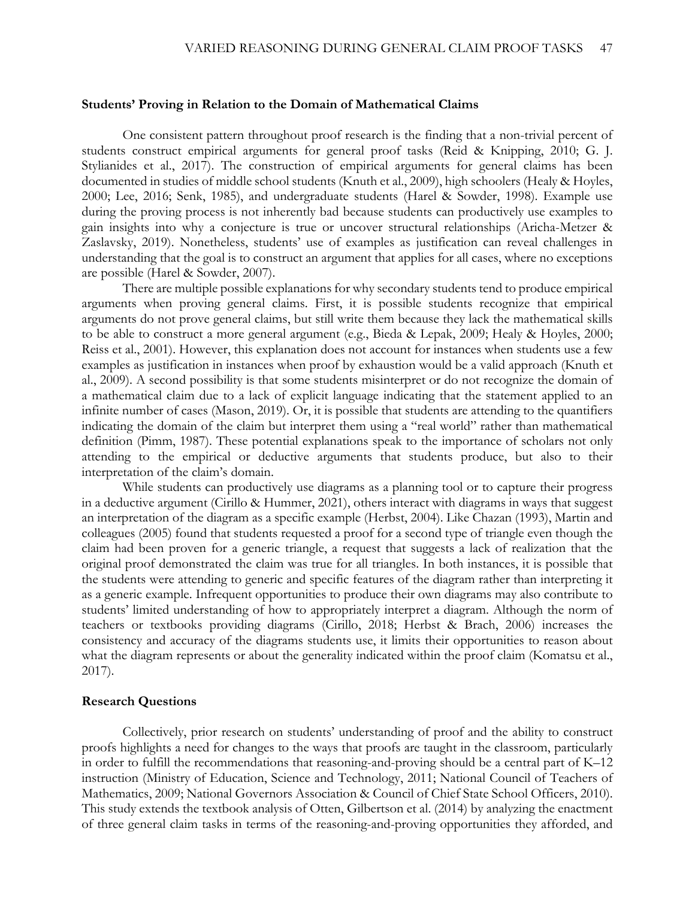#### **Students' Proving in Relation to the Domain of Mathematical Claims**

One consistent pattern throughout proof research is the finding that a non-trivial percent of students construct empirical arguments for general proof tasks (Reid & Knipping, 2010; G. J. Stylianides et al., 2017). The construction of empirical arguments for general claims has been documented in studies of middle school students (Knuth et al., 2009), high schoolers (Healy & Hoyles, 2000; Lee, 2016; Senk, 1985), and undergraduate students (Harel & Sowder, 1998). Example use during the proving process is not inherently bad because students can productively use examples to gain insights into why a conjecture is true or uncover structural relationships (Aricha-Metzer & Zaslavsky, 2019). Nonetheless, students' use of examples as justification can reveal challenges in understanding that the goal is to construct an argument that applies for all cases, where no exceptions are possible (Harel & Sowder, 2007).

There are multiple possible explanations for why secondary students tend to produce empirical arguments when proving general claims. First, it is possible students recognize that empirical arguments do not prove general claims, but still write them because they lack the mathematical skills to be able to construct a more general argument (e.g., Bieda & Lepak, 2009; Healy & Hoyles, 2000; Reiss et al., 2001). However, this explanation does not account for instances when students use a few examples as justification in instances when proof by exhaustion would be a valid approach (Knuth et al., 2009). A second possibility is that some students misinterpret or do not recognize the domain of a mathematical claim due to a lack of explicit language indicating that the statement applied to an infinite number of cases (Mason, 2019). Or, it is possible that students are attending to the quantifiers indicating the domain of the claim but interpret them using a "real world" rather than mathematical definition (Pimm, 1987). These potential explanations speak to the importance of scholars not only attending to the empirical or deductive arguments that students produce, but also to their interpretation of the claim's domain.

While students can productively use diagrams as a planning tool or to capture their progress in a deductive argument (Cirillo & Hummer, 2021), others interact with diagrams in ways that suggest an interpretation of the diagram as a specific example (Herbst, 2004). Like Chazan (1993), Martin and colleagues (2005) found that students requested a proof for a second type of triangle even though the claim had been proven for a generic triangle, a request that suggests a lack of realization that the original proof demonstrated the claim was true for all triangles. In both instances, it is possible that the students were attending to generic and specific features of the diagram rather than interpreting it as a generic example. Infrequent opportunities to produce their own diagrams may also contribute to students' limited understanding of how to appropriately interpret a diagram. Although the norm of teachers or textbooks providing diagrams (Cirillo, 2018; Herbst & Brach, 2006) increases the consistency and accuracy of the diagrams students use, it limits their opportunities to reason about what the diagram represents or about the generality indicated within the proof claim (Komatsu et al., 2017).

#### **Research Questions**

Collectively, prior research on students' understanding of proof and the ability to construct proofs highlights a need for changes to the ways that proofs are taught in the classroom, particularly in order to fulfill the recommendations that reasoning-and-proving should be a central part of K–12 instruction (Ministry of Education, Science and Technology, 2011; National Council of Teachers of Mathematics, 2009; National Governors Association & Council of Chief State School Officers, 2010). This study extends the textbook analysis of Otten, Gilbertson et al. (2014) by analyzing the enactment of three general claim tasks in terms of the reasoning-and-proving opportunities they afforded, and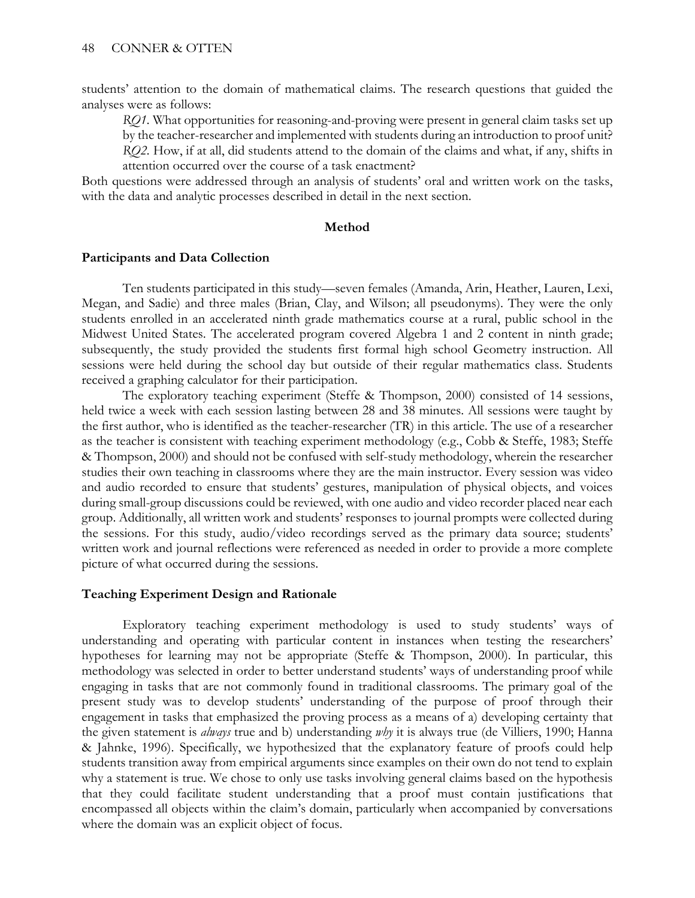students' attention to the domain of mathematical claims. The research questions that guided the analyses were as follows:

*RQ1.* What opportunities for reasoning-and-proving were present in general claim tasks set up by the teacher-researcher and implemented with students during an introduction to proof unit? *RQ2.* How, if at all, did students attend to the domain of the claims and what, if any, shifts in attention occurred over the course of a task enactment?

Both questions were addressed through an analysis of students' oral and written work on the tasks, with the data and analytic processes described in detail in the next section.

#### **Method**

#### **Participants and Data Collection**

Ten students participated in this study—seven females (Amanda, Arin, Heather, Lauren, Lexi, Megan, and Sadie) and three males (Brian, Clay, and Wilson; all pseudonyms). They were the only students enrolled in an accelerated ninth grade mathematics course at a rural, public school in the Midwest United States. The accelerated program covered Algebra 1 and 2 content in ninth grade; subsequently, the study provided the students first formal high school Geometry instruction. All sessions were held during the school day but outside of their regular mathematics class. Students received a graphing calculator for their participation.

The exploratory teaching experiment (Steffe & Thompson, 2000) consisted of 14 sessions, held twice a week with each session lasting between 28 and 38 minutes. All sessions were taught by the first author, who is identified as the teacher-researcher (TR) in this article. The use of a researcher as the teacher is consistent with teaching experiment methodology (e.g., Cobb & Steffe, 1983; Steffe & Thompson, 2000) and should not be confused with self-study methodology, wherein the researcher studies their own teaching in classrooms where they are the main instructor. Every session was video and audio recorded to ensure that students' gestures, manipulation of physical objects, and voices during small-group discussions could be reviewed, with one audio and video recorder placed near each group. Additionally, all written work and students' responses to journal prompts were collected during the sessions. For this study, audio/video recordings served as the primary data source; students' written work and journal reflections were referenced as needed in order to provide a more complete picture of what occurred during the sessions.

#### **Teaching Experiment Design and Rationale**

Exploratory teaching experiment methodology is used to study students' ways of understanding and operating with particular content in instances when testing the researchers' hypotheses for learning may not be appropriate (Steffe & Thompson, 2000). In particular, this methodology was selected in order to better understand students' ways of understanding proof while engaging in tasks that are not commonly found in traditional classrooms. The primary goal of the present study was to develop students' understanding of the purpose of proof through their engagement in tasks that emphasized the proving process as a means of a) developing certainty that the given statement is *always* true and b) understanding *why* it is always true (de Villiers, 1990; Hanna & Jahnke, 1996). Specifically, we hypothesized that the explanatory feature of proofs could help students transition away from empirical arguments since examples on their own do not tend to explain why a statement is true. We chose to only use tasks involving general claims based on the hypothesis that they could facilitate student understanding that a proof must contain justifications that encompassed all objects within the claim's domain, particularly when accompanied by conversations where the domain was an explicit object of focus.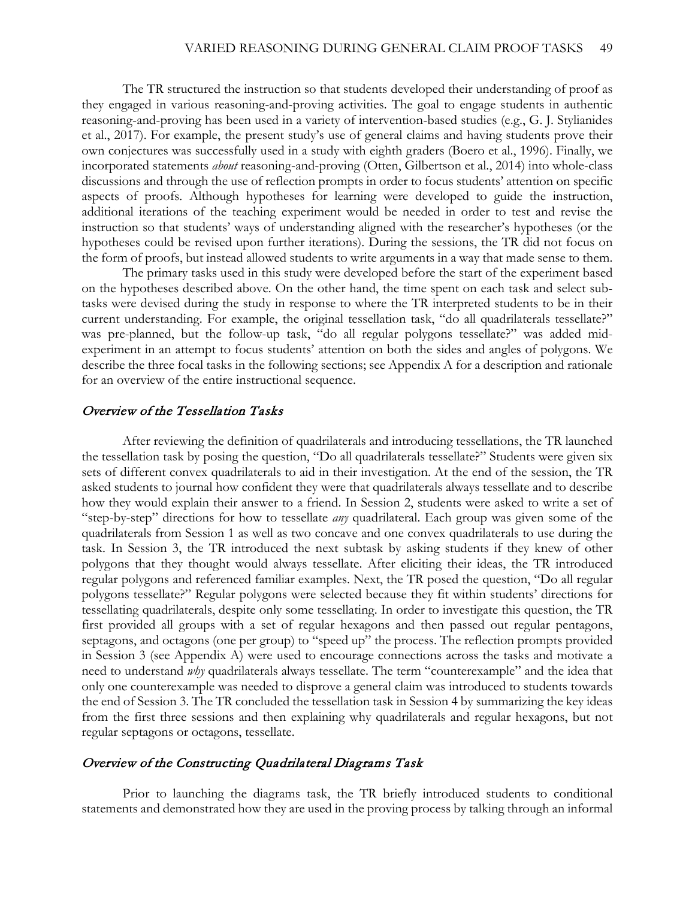The TR structured the instruction so that students developed their understanding of proof as they engaged in various reasoning-and-proving activities. The goal to engage students in authentic reasoning-and-proving has been used in a variety of intervention-based studies (e.g., G. J. Stylianides et al., 2017). For example, the present study's use of general claims and having students prove their own conjectures was successfully used in a study with eighth graders (Boero et al., 1996). Finally, we incorporated statements *about* reasoning-and-proving (Otten, Gilbertson et al., 2014) into whole-class discussions and through the use of reflection prompts in order to focus students' attention on specific aspects of proofs. Although hypotheses for learning were developed to guide the instruction, additional iterations of the teaching experiment would be needed in order to test and revise the instruction so that students' ways of understanding aligned with the researcher's hypotheses (or the hypotheses could be revised upon further iterations). During the sessions, the TR did not focus on the form of proofs, but instead allowed students to write arguments in a way that made sense to them.

The primary tasks used in this study were developed before the start of the experiment based on the hypotheses described above. On the other hand, the time spent on each task and select subtasks were devised during the study in response to where the TR interpreted students to be in their current understanding. For example, the original tessellation task, "do all quadrilaterals tessellate?" was pre-planned, but the follow-up task, "do all regular polygons tessellate?" was added midexperiment in an attempt to focus students' attention on both the sides and angles of polygons. We describe the three focal tasks in the following sections; see Appendix A for a description and rationale for an overview of the entire instructional sequence.

# Overview of the Tessellation Tasks

After reviewing the definition of quadrilaterals and introducing tessellations, the TR launched the tessellation task by posing the question, "Do all quadrilaterals tessellate?" Students were given six sets of different convex quadrilaterals to aid in their investigation. At the end of the session, the TR asked students to journal how confident they were that quadrilaterals always tessellate and to describe how they would explain their answer to a friend. In Session 2, students were asked to write a set of "step-by-step" directions for how to tessellate *any* quadrilateral. Each group was given some of the quadrilaterals from Session 1 as well as two concave and one convex quadrilaterals to use during the task. In Session 3, the TR introduced the next subtask by asking students if they knew of other polygons that they thought would always tessellate. After eliciting their ideas, the TR introduced regular polygons and referenced familiar examples. Next, the TR posed the question, "Do all regular polygons tessellate?" Regular polygons were selected because they fit within students' directions for tessellating quadrilaterals, despite only some tessellating. In order to investigate this question, the TR first provided all groups with a set of regular hexagons and then passed out regular pentagons, septagons, and octagons (one per group) to "speed up" the process. The reflection prompts provided in Session 3 (see Appendix A) were used to encourage connections across the tasks and motivate a need to understand *why* quadrilaterals always tessellate. The term "counterexample" and the idea that only one counterexample was needed to disprove a general claim was introduced to students towards the end of Session 3. The TR concluded the tessellation task in Session 4 by summarizing the key ideas from the first three sessions and then explaining why quadrilaterals and regular hexagons, but not regular septagons or octagons, tessellate.

#### Overview of the Constructing Quadrilateral Diagrams Task

Prior to launching the diagrams task, the TR briefly introduced students to conditional statements and demonstrated how they are used in the proving process by talking through an informal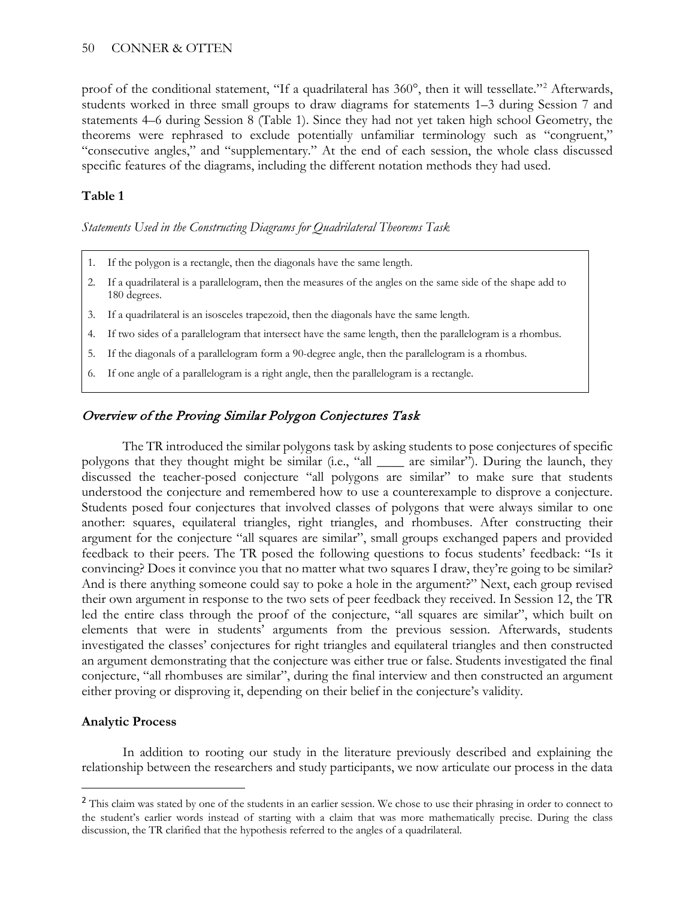proof of the conditional statement, "If a quadrilateral has 360°, then it will tessellate."<sup>[2](#page-8-0)</sup> Afterwards, students worked in three small groups to draw diagrams for statements 1–3 during Session 7 and statements 4–6 during Session 8 (Table 1). Since they had not yet taken high school Geometry, the theorems were rephrased to exclude potentially unfamiliar terminology such as "congruent," "consecutive angles," and "supplementary." At the end of each session, the whole class discussed specific features of the diagrams, including the different notation methods they had used.

# **Table 1**

*Statements Used in the Constructing Diagrams for Quadrilateral Theorems Task*

- 1. If the polygon is a rectangle, then the diagonals have the same length.
- 2. If a quadrilateral is a parallelogram, then the measures of the angles on the same side of the shape add to 180 degrees.
- 3. If a quadrilateral is an isosceles trapezoid, then the diagonals have the same length.
- 4. If two sides of a parallelogram that intersect have the same length, then the parallelogram is a rhombus.
- 5. If the diagonals of a parallelogram form a 90-degree angle, then the parallelogram is a rhombus.
- 6. If one angle of a parallelogram is a right angle, then the parallelogram is a rectangle.

# Overview of the Proving Similar Polygon Conjectures Task

The TR introduced the similar polygons task by asking students to pose conjectures of specific polygons that they thought might be similar (i.e., "all \_\_\_\_ are similar"). During the launch, they discussed the teacher-posed conjecture "all polygons are similar" to make sure that students understood the conjecture and remembered how to use a counterexample to disprove a conjecture. Students posed four conjectures that involved classes of polygons that were always similar to one another: squares, equilateral triangles, right triangles, and rhombuses. After constructing their argument for the conjecture "all squares are similar", small groups exchanged papers and provided feedback to their peers. The TR posed the following questions to focus students' feedback: "Is it convincing? Does it convince you that no matter what two squares I draw, they're going to be similar? And is there anything someone could say to poke a hole in the argument?" Next, each group revised their own argument in response to the two sets of peer feedback they received. In Session 12, the TR led the entire class through the proof of the conjecture, "all squares are similar", which built on elements that were in students' arguments from the previous session. Afterwards, students investigated the classes' conjectures for right triangles and equilateral triangles and then constructed an argument demonstrating that the conjecture was either true or false. Students investigated the final conjecture, "all rhombuses are similar", during the final interview and then constructed an argument either proving or disproving it, depending on their belief in the conjecture's validity.

#### **Analytic Process**

 $\overline{a}$ 

In addition to rooting our study in the literature previously described and explaining the relationship between the researchers and study participants, we now articulate our process in the data

<span id="page-8-0"></span><sup>&</sup>lt;sup>2</sup> This claim was stated by one of the students in an earlier session. We chose to use their phrasing in order to connect to the student's earlier words instead of starting with a claim that was more mathematically precise. During the class discussion, the TR clarified that the hypothesis referred to the angles of a quadrilateral.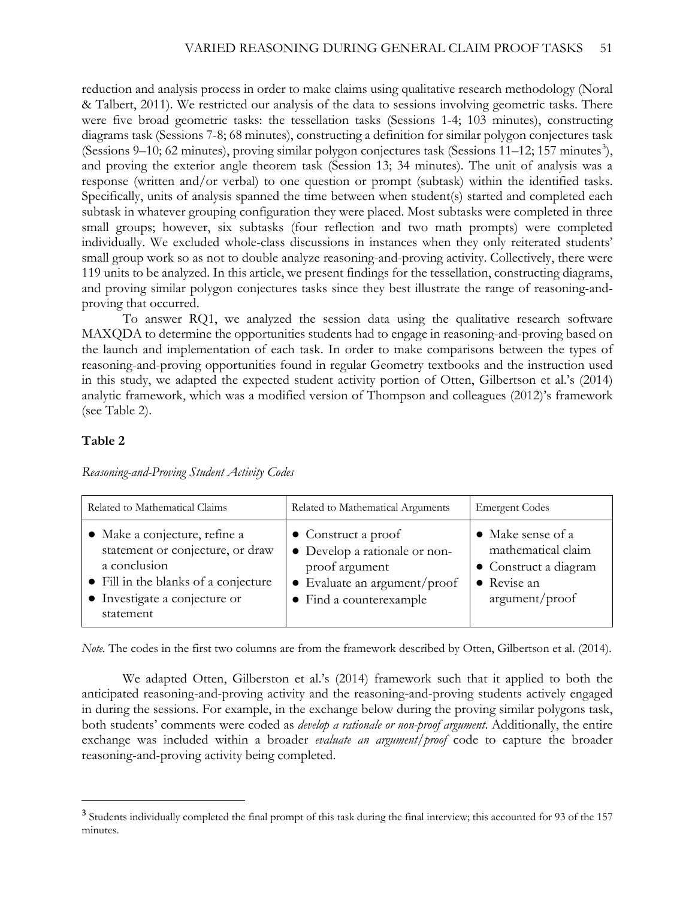reduction and analysis process in order to make claims using qualitative research methodology (Noral & Talbert, 2011). We restricted our analysis of the data to sessions involving geometric tasks. There were five broad geometric tasks: the tessellation tasks (Sessions 1-4; 103 minutes), constructing diagrams task (Sessions 7-8; 68 minutes), constructing a definition for similar polygon conjectures task (Sessions 9-10; 62 minutes), proving similar polygon conjectures task (Sessions 11-12; 157 minutes<sup>[3](#page-9-0)</sup>), and proving the exterior angle theorem task (Session 13; 34 minutes). The unit of analysis was a response (written and/or verbal) to one question or prompt (subtask) within the identified tasks. Specifically, units of analysis spanned the time between when student(s) started and completed each subtask in whatever grouping configuration they were placed. Most subtasks were completed in three small groups; however, six subtasks (four reflection and two math prompts) were completed individually. We excluded whole-class discussions in instances when they only reiterated students' small group work so as not to double analyze reasoning-and-proving activity. Collectively, there were 119 units to be analyzed. In this article, we present findings for the tessellation, constructing diagrams, and proving similar polygon conjectures tasks since they best illustrate the range of reasoning-andproving that occurred.

To answer RQ1, we analyzed the session data using the qualitative research software MAXQDA to determine the opportunities students had to engage in reasoning-and-proving based on the launch and implementation of each task. In order to make comparisons between the types of reasoning-and-proving opportunities found in regular Geometry textbooks and the instruction used in this study, we adapted the expected student activity portion of Otten, Gilbertson et al.'s (2014) analytic framework, which was a modified version of Thompson and colleagues (2012)'s framework (see Table 2).

# **Table 2**

 $\overline{a}$ 

| Related to Mathematical Claims                                                                                                                                          | Related to Mathematical Arguments                                                                                                                 | <b>Emergent Codes</b>                                                                             |
|-------------------------------------------------------------------------------------------------------------------------------------------------------------------------|---------------------------------------------------------------------------------------------------------------------------------------------------|---------------------------------------------------------------------------------------------------|
| • Make a conjecture, refine a<br>statement or conjecture, or draw<br>a conclusion<br>• Fill in the blanks of a conjecture<br>• Investigate a conjecture or<br>statement | $\bullet$ Construct a proof<br>• Develop a rationale or non-<br>proof argument<br>$\bullet$ Evaluate an argument/proof<br>• Find a counterexample | • Make sense of a<br>mathematical claim<br>• Construct a diagram<br>• Revise an<br>argument/proof |

*Reasoning-and-Proving Student Activity Codes*

*Note.* The codes in the first two columns are from the framework described by Otten, Gilbertson et al. (2014).

We adapted Otten, Gilberston et al.'s (2014) framework such that it applied to both the anticipated reasoning-and-proving activity and the reasoning-and-proving students actively engaged in during the sessions. For example, in the exchange below during the proving similar polygons task, both students' comments were coded as *develop a rationale or non-proof argument*. Additionally, the entire exchange was included within a broader *evaluate an argument/proof* code to capture the broader reasoning-and-proving activity being completed.

<span id="page-9-0"></span><sup>&</sup>lt;sup>3</sup> Students individually completed the final prompt of this task during the final interview; this accounted for 93 of the 157 minutes.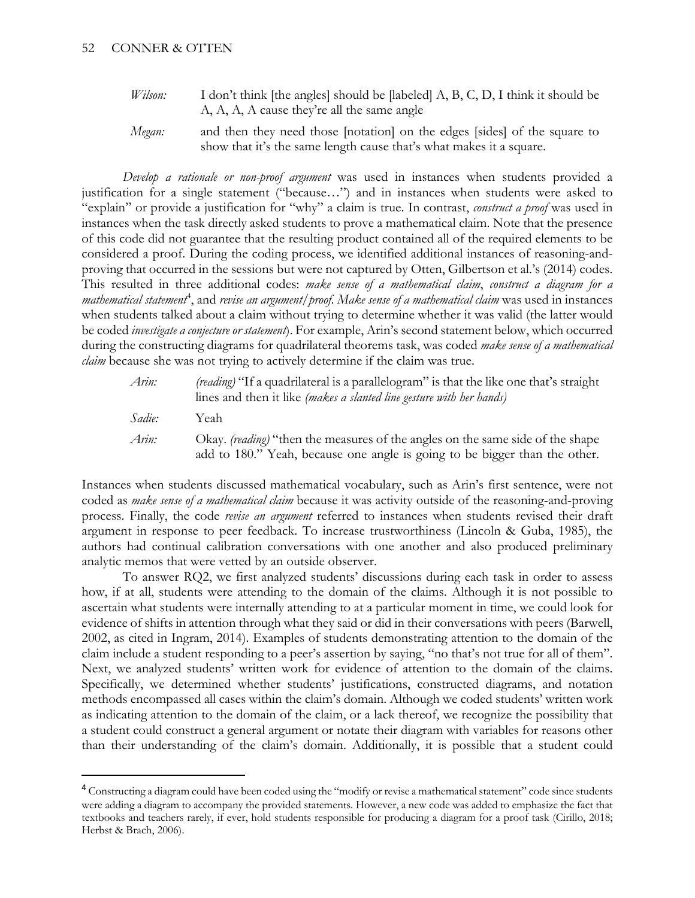$\overline{a}$ 

*Wilson:* I don't think [the angles] should be [labeled] A, B, C, D, I think it should be A, A, A, A cause they're all the same angle *Megan:* and then they need those [notation] on the edges [sides] of the square to

show that it's the same length cause that's what makes it a square.

*Develop a rationale or non-proof argument* was used in instances when students provided a justification for a single statement ("because…") and in instances when students were asked to "explain" or provide a justification for "why" a claim is true. In contrast, *construct a proof* was used in instances when the task directly asked students to prove a mathematical claim. Note that the presence of this code did not guarantee that the resulting product contained all of the required elements to be considered a proof. During the coding process, we identified additional instances of reasoning-andproving that occurred in the sessions but were not captured by Otten, Gilbertson et al.'s (2014) codes. This resulted in three additional codes: *make sense of a mathematical claim*, *construct a diagram for a mathematical statement*[4](#page-10-0) , and *revise an argument/proof*. *Make sense of a mathematical claim* was used in instances when students talked about a claim without trying to determine whether it was valid (the latter would be coded *investigate a conjecture or statement*). For example, Arin's second statement below, which occurred during the constructing diagrams for quadrilateral theorems task, was coded *make sense of a mathematical claim* because she was not trying to actively determine if the claim was true.

| Arin:  | <i>(reading)</i> "If a quadrilateral is a parallelogram" is that the like one that's straight<br>lines and then it like <i>(makes a slanted line gesture with her hands)</i> |
|--------|------------------------------------------------------------------------------------------------------------------------------------------------------------------------------|
| Sadie: | Yeah                                                                                                                                                                         |
| Arin:  | Okay. <i>(reading)</i> "then the measures of the angles on the same side of the shape<br>add to 180." Yeah, because one angle is going to be bigger than the other.          |

Instances when students discussed mathematical vocabulary, such as Arin's first sentence, were not coded as *make sense of a mathematical claim* because it was activity outside of the reasoning-and-proving process. Finally, the code *revise an argument* referred to instances when students revised their draft argument in response to peer feedback. To increase trustworthiness (Lincoln & Guba, 1985), the authors had continual calibration conversations with one another and also produced preliminary analytic memos that were vetted by an outside observer.

To answer RQ2, we first analyzed students' discussions during each task in order to assess how, if at all, students were attending to the domain of the claims. Although it is not possible to ascertain what students were internally attending to at a particular moment in time, we could look for evidence of shifts in attention through what they said or did in their conversations with peers (Barwell, 2002, as cited in Ingram, 2014). Examples of students demonstrating attention to the domain of the claim include a student responding to a peer's assertion by saying, "no that's not true for all of them". Next, we analyzed students' written work for evidence of attention to the domain of the claims. Specifically, we determined whether students' justifications, constructed diagrams, and notation methods encompassed all cases within the claim's domain. Although we coded students' written work as indicating attention to the domain of the claim, or a lack thereof, we recognize the possibility that a student could construct a general argument or notate their diagram with variables for reasons other than their understanding of the claim's domain. Additionally, it is possible that a student could

<span id="page-10-0"></span><sup>&</sup>lt;sup>4</sup> Constructing a diagram could have been coded using the "modify or revise a mathematical statement" code since students were adding a diagram to accompany the provided statements. However, a new code was added to emphasize the fact that textbooks and teachers rarely, if ever, hold students responsible for producing a diagram for a proof task (Cirillo, 2018; Herbst & Brach, 2006).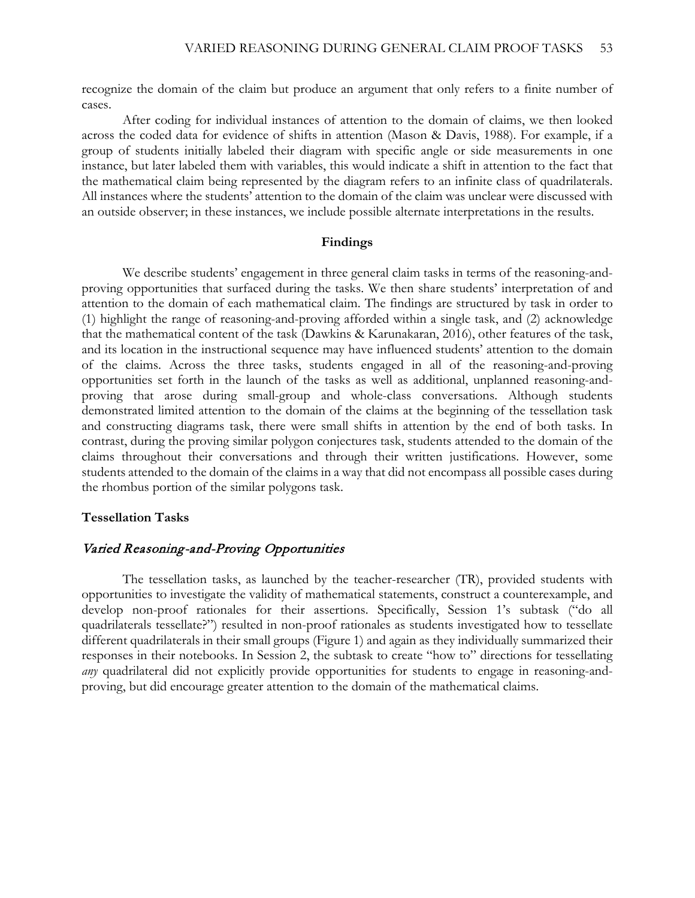recognize the domain of the claim but produce an argument that only refers to a finite number of cases.

After coding for individual instances of attention to the domain of claims, we then looked across the coded data for evidence of shifts in attention (Mason & Davis, 1988). For example, if a group of students initially labeled their diagram with specific angle or side measurements in one instance, but later labeled them with variables, this would indicate a shift in attention to the fact that the mathematical claim being represented by the diagram refers to an infinite class of quadrilaterals. All instances where the students' attention to the domain of the claim was unclear were discussed with an outside observer; in these instances, we include possible alternate interpretations in the results.

#### **Findings**

We describe students' engagement in three general claim tasks in terms of the reasoning-andproving opportunities that surfaced during the tasks. We then share students' interpretation of and attention to the domain of each mathematical claim. The findings are structured by task in order to (1) highlight the range of reasoning-and-proving afforded within a single task, and (2) acknowledge that the mathematical content of the task (Dawkins & Karunakaran, 2016), other features of the task, and its location in the instructional sequence may have influenced students' attention to the domain of the claims. Across the three tasks, students engaged in all of the reasoning-and-proving opportunities set forth in the launch of the tasks as well as additional, unplanned reasoning-andproving that arose during small-group and whole-class conversations. Although students demonstrated limited attention to the domain of the claims at the beginning of the tessellation task and constructing diagrams task, there were small shifts in attention by the end of both tasks. In contrast, during the proving similar polygon conjectures task, students attended to the domain of the claims throughout their conversations and through their written justifications. However, some students attended to the domain of the claims in a way that did not encompass all possible cases during the rhombus portion of the similar polygons task.

#### **Tessellation Tasks**

# Varied Reasoning-and-Proving Opportunities

The tessellation tasks, as launched by the teacher-researcher (TR), provided students with opportunities to investigate the validity of mathematical statements, construct a counterexample, and develop non-proof rationales for their assertions. Specifically, Session 1's subtask ("do all quadrilaterals tessellate?") resulted in non-proof rationales as students investigated how to tessellate different quadrilaterals in their small groups (Figure 1) and again as they individually summarized their responses in their notebooks. In Session 2, the subtask to create "how to" directions for tessellating *any* quadrilateral did not explicitly provide opportunities for students to engage in reasoning-andproving, but did encourage greater attention to the domain of the mathematical claims.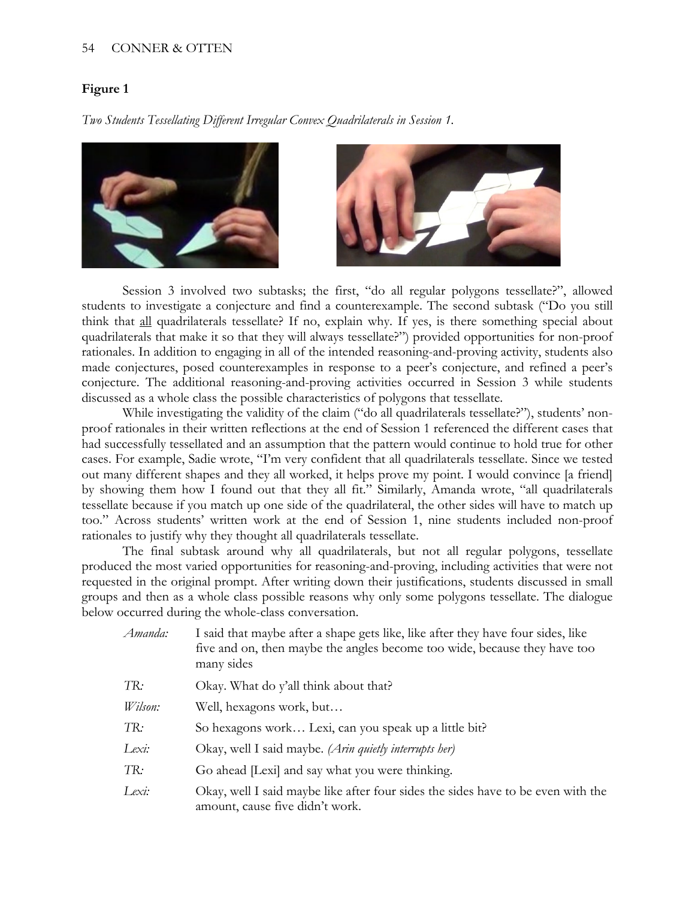### 54 CONNER & OTTEN

## **Figure 1**

*Two Students Tessellating Different Irregular Convex Quadrilaterals in Session 1.*



Session 3 involved two subtasks; the first, "do all regular polygons tessellate?", allowed students to investigate a conjecture and find a counterexample. The second subtask ("Do you still think that all quadrilaterals tessellate? If no, explain why. If yes, is there something special about quadrilaterals that make it so that they will always tessellate?") provided opportunities for non-proof rationales. In addition to engaging in all of the intended reasoning-and-proving activity, students also made conjectures, posed counterexamples in response to a peer's conjecture, and refined a peer's conjecture. The additional reasoning-and-proving activities occurred in Session 3 while students discussed as a whole class the possible characteristics of polygons that tessellate.

While investigating the validity of the claim ("do all quadrilaterals tessellate?"), students' nonproof rationales in their written reflections at the end of Session 1 referenced the different cases that had successfully tessellated and an assumption that the pattern would continue to hold true for other cases. For example, Sadie wrote, "I'm very confident that all quadrilaterals tessellate. Since we tested out many different shapes and they all worked, it helps prove my point. I would convince [a friend] by showing them how I found out that they all fit." Similarly, Amanda wrote, "all quadrilaterals tessellate because if you match up one side of the quadrilateral, the other sides will have to match up too." Across students' written work at the end of Session 1, nine students included non-proof rationales to justify why they thought all quadrilaterals tessellate.

The final subtask around why all quadrilaterals, but not all regular polygons, tessellate produced the most varied opportunities for reasoning-and-proving, including activities that were not requested in the original prompt. After writing down their justifications, students discussed in small groups and then as a whole class possible reasons why only some polygons tessellate. The dialogue below occurred during the whole-class conversation.

| I said that maybe after a shape gets like, like after they have four sides, like<br>five and on, then maybe the angles become too wide, because they have too<br>many sides |  |
|-----------------------------------------------------------------------------------------------------------------------------------------------------------------------------|--|
| Okay. What do y'all think about that?                                                                                                                                       |  |
| Well, hexagons work, but                                                                                                                                                    |  |
| So hexagons work Lexi, can you speak up a little bit?                                                                                                                       |  |
| Okay, well I said maybe. (Arin quietly interrupts her)                                                                                                                      |  |
| Go ahead [Lexi] and say what you were thinking.                                                                                                                             |  |
| Okay, well I said maybe like after four sides the sides have to be even with the<br>amount, cause five didn't work.                                                         |  |
|                                                                                                                                                                             |  |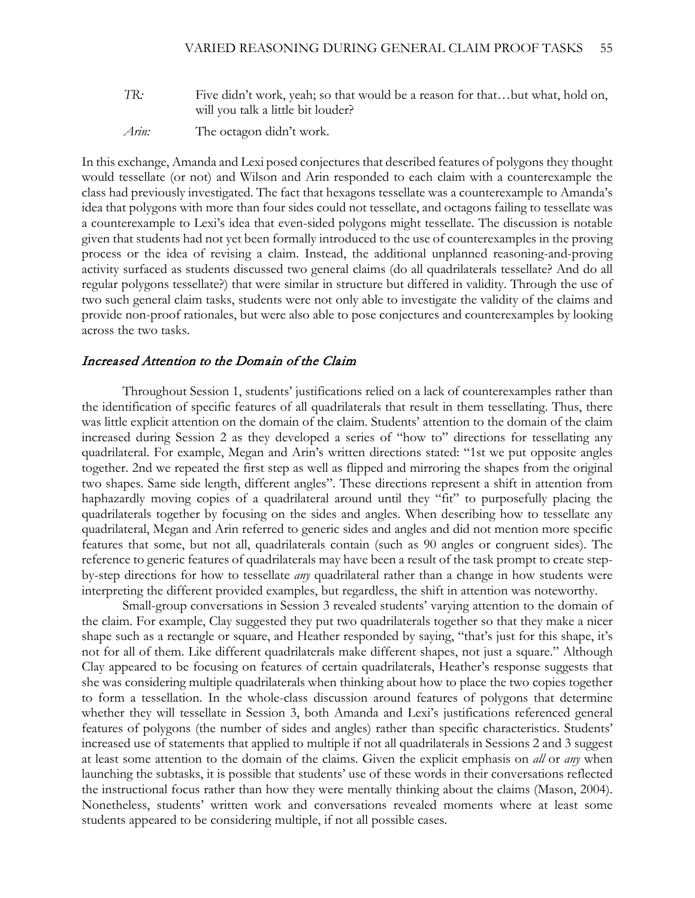- *TR:* Five didn't work, yeah; so that would be a reason for that...but what, hold on, will you talk a little bit louder?
- *Arin:* The octagon didn't work.

In this exchange, Amanda and Lexi posed conjectures that described features of polygons they thought would tessellate (or not) and Wilson and Arin responded to each claim with a counterexample the class had previously investigated. The fact that hexagons tessellate was a counterexample to Amanda's idea that polygons with more than four sides could not tessellate, and octagons failing to tessellate was a counterexample to Lexi's idea that even-sided polygons might tessellate. The discussion is notable given that students had not yet been formally introduced to the use of counterexamples in the proving process or the idea of revising a claim. Instead, the additional unplanned reasoning-and-proving activity surfaced as students discussed two general claims (do all quadrilaterals tessellate? And do all regular polygons tessellate?) that were similar in structure but differed in validity. Through the use of two such general claim tasks, students were not only able to investigate the validity of the claims and provide non-proof rationales, but were also able to pose conjectures and counterexamples by looking across the two tasks.

### Increased Attention to the Domain of the Claim

Throughout Session 1, students' justifications relied on a lack of counterexamples rather than the identification of specific features of all quadrilaterals that result in them tessellating. Thus, there was little explicit attention on the domain of the claim. Students' attention to the domain of the claim increased during Session 2 as they developed a series of "how to" directions for tessellating any quadrilateral. For example, Megan and Arin's written directions stated: "1st we put opposite angles together. 2nd we repeated the first step as well as flipped and mirroring the shapes from the original two shapes. Same side length, different angles". These directions represent a shift in attention from haphazardly moving copies of a quadrilateral around until they "fit" to purposefully placing the quadrilaterals together by focusing on the sides and angles. When describing how to tessellate any quadrilateral, Megan and Arin referred to generic sides and angles and did not mention more specific features that some, but not all, quadrilaterals contain (such as 90 angles or congruent sides). The reference to generic features of quadrilaterals may have been a result of the task prompt to create stepby-step directions for how to tessellate *any* quadrilateral rather than a change in how students were interpreting the different provided examples, but regardless, the shift in attention was noteworthy.

Small-group conversations in Session 3 revealed students' varying attention to the domain of the claim. For example, Clay suggested they put two quadrilaterals together so that they make a nicer shape such as a rectangle or square, and Heather responded by saying, "that's just for this shape, it's not for all of them. Like different quadrilaterals make different shapes, not just a square." Although Clay appeared to be focusing on features of certain quadrilaterals, Heather's response suggests that she was considering multiple quadrilaterals when thinking about how to place the two copies together to form a tessellation. In the whole-class discussion around features of polygons that determine whether they will tessellate in Session 3, both Amanda and Lexi's justifications referenced general features of polygons (the number of sides and angles) rather than specific characteristics. Students' increased use of statements that applied to multiple if not all quadrilaterals in Sessions 2 and 3 suggest at least some attention to the domain of the claims. Given the explicit emphasis on *all* or *any* when launching the subtasks, it is possible that students' use of these words in their conversations reflected the instructional focus rather than how they were mentally thinking about the claims (Mason, 2004). Nonetheless, students' written work and conversations revealed moments where at least some students appeared to be considering multiple, if not all possible cases.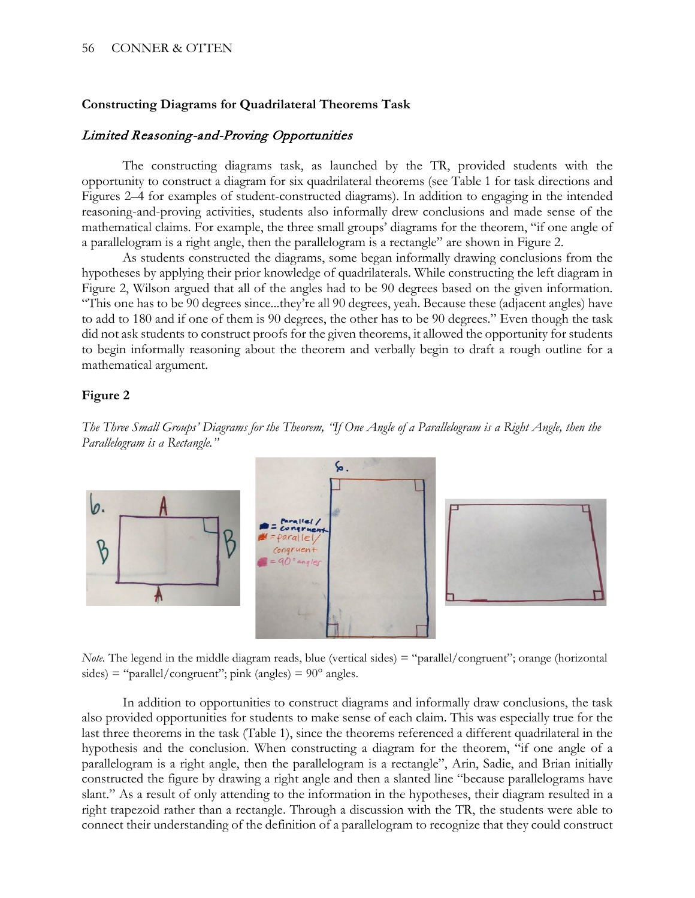# **Constructing Diagrams for Quadrilateral Theorems Task**

# Limited Reasoning-and-Proving Opportunities

The constructing diagrams task, as launched by the TR, provided students with the opportunity to construct a diagram for six quadrilateral theorems (see Table 1 for task directions and Figures 2–4 for examples of student-constructed diagrams). In addition to engaging in the intended reasoning-and-proving activities, students also informally drew conclusions and made sense of the mathematical claims. For example, the three small groups' diagrams for the theorem, "if one angle of a parallelogram is a right angle, then the parallelogram is a rectangle" are shown in Figure 2.

As students constructed the diagrams, some began informally drawing conclusions from the hypotheses by applying their prior knowledge of quadrilaterals. While constructing the left diagram in Figure 2, Wilson argued that all of the angles had to be 90 degrees based on the given information. "This one has to be 90 degrees since...they're all 90 degrees, yeah. Because these (adjacent angles) have to add to 180 and if one of them is 90 degrees, the other has to be 90 degrees." Even though the task did not ask students to construct proofs for the given theorems, it allowed the opportunity for students to begin informally reasoning about the theorem and verbally begin to draft a rough outline for a mathematical argument.

## **Figure 2**



*The Three Small Groups' Diagrams for the Theorem, "If One Angle of a Parallelogram is a Right Angle, then the Parallelogram is a Rectangle."*

*Note.* The legend in the middle diagram reads, blue (vertical sides) = "parallel/congruent"; orange (horizontal sides) = "parallel/congruent"; pink (angles) =  $90^{\circ}$  angles.

In addition to opportunities to construct diagrams and informally draw conclusions, the task also provided opportunities for students to make sense of each claim. This was especially true for the last three theorems in the task (Table 1), since the theorems referenced a different quadrilateral in the hypothesis and the conclusion. When constructing a diagram for the theorem, "if one angle of a parallelogram is a right angle, then the parallelogram is a rectangle", Arin, Sadie, and Brian initially constructed the figure by drawing a right angle and then a slanted line "because parallelograms have slant." As a result of only attending to the information in the hypotheses, their diagram resulted in a right trapezoid rather than a rectangle. Through a discussion with the TR, the students were able to connect their understanding of the definition of a parallelogram to recognize that they could construct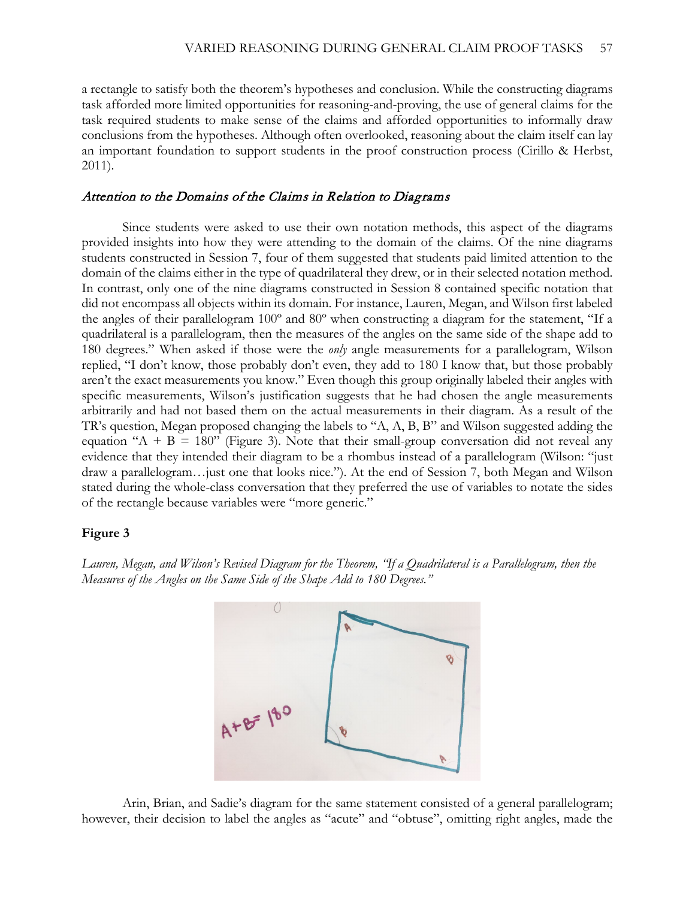a rectangle to satisfy both the theorem's hypotheses and conclusion. While the constructing diagrams task afforded more limited opportunities for reasoning-and-proving, the use of general claims for the task required students to make sense of the claims and afforded opportunities to informally draw conclusions from the hypotheses. Although often overlooked, reasoning about the claim itself can lay an important foundation to support students in the proof construction process (Cirillo & Herbst, 2011).

### Attention to the Domains of the Claims in Relation to Diagrams

Since students were asked to use their own notation methods, this aspect of the diagrams provided insights into how they were attending to the domain of the claims. Of the nine diagrams students constructed in Session 7, four of them suggested that students paid limited attention to the domain of the claims either in the type of quadrilateral they drew, or in their selected notation method. In contrast, only one of the nine diagrams constructed in Session 8 contained specific notation that did not encompass all objects within its domain. For instance, Lauren, Megan, and Wilson first labeled the angles of their parallelogram 100º and 80º when constructing a diagram for the statement, "If a quadrilateral is a parallelogram, then the measures of the angles on the same side of the shape add to 180 degrees." When asked if those were the *only* angle measurements for a parallelogram, Wilson replied, "I don't know, those probably don't even, they add to 180 I know that, but those probably aren't the exact measurements you know." Even though this group originally labeled their angles with specific measurements, Wilson's justification suggests that he had chosen the angle measurements arbitrarily and had not based them on the actual measurements in their diagram. As a result of the TR's question, Megan proposed changing the labels to "A, A, B, B" and Wilson suggested adding the equation "A + B = 180" (Figure 3). Note that their small-group conversation did not reveal any evidence that they intended their diagram to be a rhombus instead of a parallelogram (Wilson: "just draw a parallelogram…just one that looks nice."). At the end of Session 7, both Megan and Wilson stated during the whole-class conversation that they preferred the use of variables to notate the sides of the rectangle because variables were "more generic."

### **Figure 3**

*Lauren, Megan, and Wilson's Revised Diagram for the Theorem, "If a Quadrilateral is a Parallelogram, then the Measures of the Angles on the Same Side of the Shape Add to 180 Degrees."*



Arin, Brian, and Sadie's diagram for the same statement consisted of a general parallelogram; however, their decision to label the angles as "acute" and "obtuse", omitting right angles, made the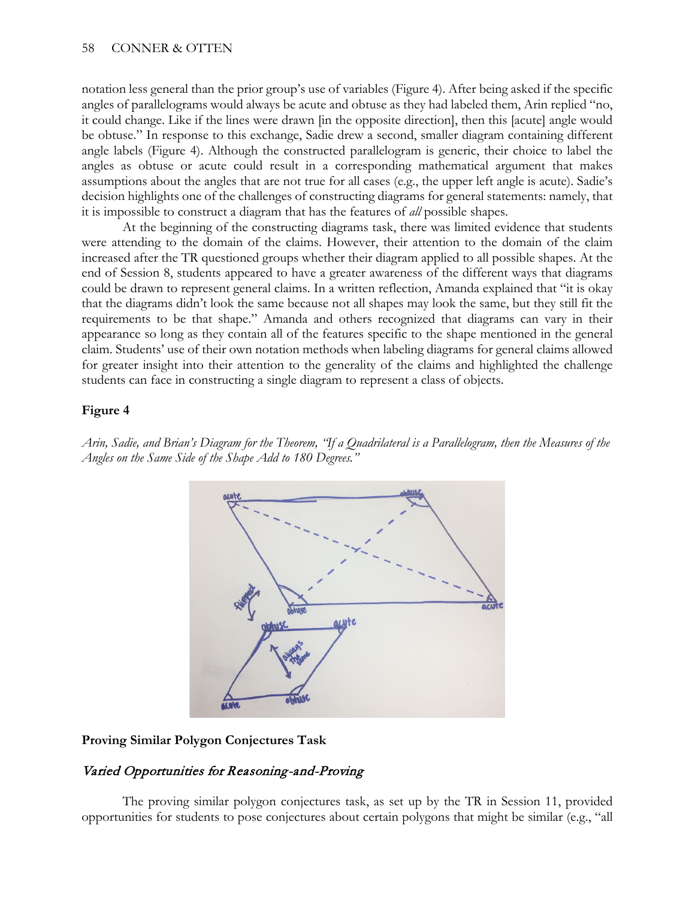notation less general than the prior group's use of variables (Figure 4). After being asked if the specific angles of parallelograms would always be acute and obtuse as they had labeled them, Arin replied "no, it could change. Like if the lines were drawn [in the opposite direction], then this [acute] angle would be obtuse." In response to this exchange, Sadie drew a second, smaller diagram containing different angle labels (Figure 4). Although the constructed parallelogram is generic, their choice to label the angles as obtuse or acute could result in a corresponding mathematical argument that makes assumptions about the angles that are not true for all cases (e.g., the upper left angle is acute). Sadie's decision highlights one of the challenges of constructing diagrams for general statements: namely, that it is impossible to construct a diagram that has the features of *all* possible shapes.

At the beginning of the constructing diagrams task, there was limited evidence that students were attending to the domain of the claims. However, their attention to the domain of the claim increased after the TR questioned groups whether their diagram applied to all possible shapes. At the end of Session 8, students appeared to have a greater awareness of the different ways that diagrams could be drawn to represent general claims. In a written reflection, Amanda explained that "it is okay that the diagrams didn't look the same because not all shapes may look the same, but they still fit the requirements to be that shape." Amanda and others recognized that diagrams can vary in their appearance so long as they contain all of the features specific to the shape mentioned in the general claim. Students' use of their own notation methods when labeling diagrams for general claims allowed for greater insight into their attention to the generality of the claims and highlighted the challenge students can face in constructing a single diagram to represent a class of objects.

# **Figure 4**

*Arin, Sadie, and Brian's Diagram for the Theorem, "If a Quadrilateral is a Parallelogram, then the Measures of the Angles on the Same Side of the Shape Add to 180 Degrees."*



## **Proving Similar Polygon Conjectures Task**

# Varied Opportunities for Reasoning-and-Proving

The proving similar polygon conjectures task, as set up by the TR in Session 11, provided opportunities for students to pose conjectures about certain polygons that might be similar (e.g., "all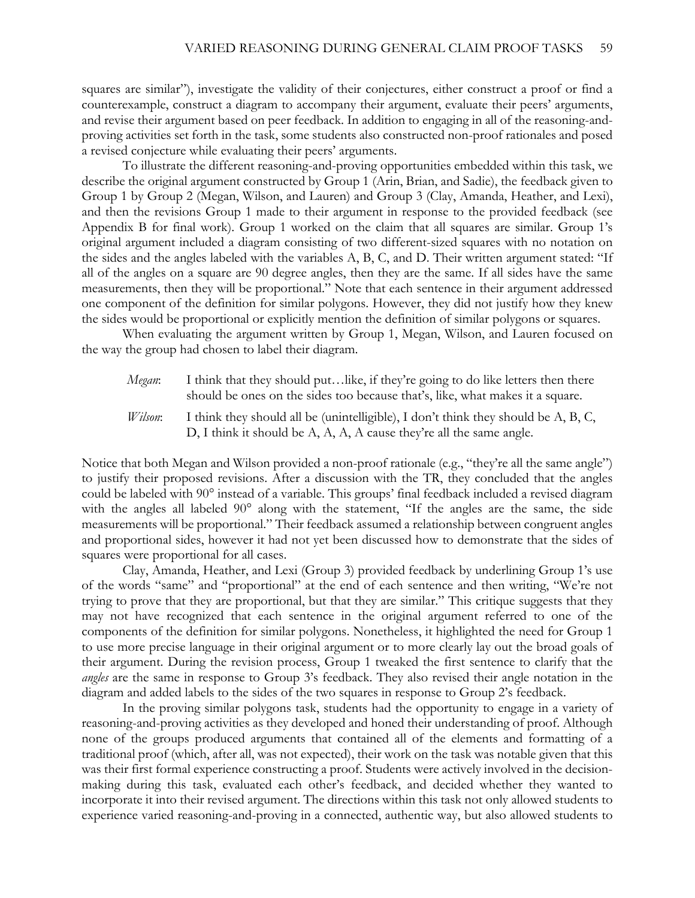squares are similar"), investigate the validity of their conjectures, either construct a proof or find a counterexample, construct a diagram to accompany their argument, evaluate their peers' arguments, and revise their argument based on peer feedback. In addition to engaging in all of the reasoning-andproving activities set forth in the task, some students also constructed non-proof rationales and posed a revised conjecture while evaluating their peers' arguments.

To illustrate the different reasoning-and-proving opportunities embedded within this task, we describe the original argument constructed by Group 1 (Arin, Brian, and Sadie), the feedback given to Group 1 by Group 2 (Megan, Wilson, and Lauren) and Group 3 (Clay, Amanda, Heather, and Lexi), and then the revisions Group 1 made to their argument in response to the provided feedback (see Appendix B for final work). Group 1 worked on the claim that all squares are similar. Group 1's original argument included a diagram consisting of two different-sized squares with no notation on the sides and the angles labeled with the variables A, B, C, and D. Their written argument stated: "If all of the angles on a square are 90 degree angles, then they are the same. If all sides have the same measurements, then they will be proportional." Note that each sentence in their argument addressed one component of the definition for similar polygons. However, they did not justify how they knew the sides would be proportional or explicitly mention the definition of similar polygons or squares.

When evaluating the argument written by Group 1, Megan, Wilson, and Lauren focused on the way the group had chosen to label their diagram.

- *Megan*: I think that they should put…like, if they're going to do like letters then there should be ones on the sides too because that's, like, what makes it a square.
- *Wilson*: I think they should all be (unintelligible), I don't think they should be A, B, C, D, I think it should be A, A, A, A cause they're all the same angle.

Notice that both Megan and Wilson provided a non-proof rationale (e.g., "they're all the same angle") to justify their proposed revisions. After a discussion with the TR, they concluded that the angles could be labeled with 90° instead of a variable. This groups' final feedback included a revised diagram with the angles all labeled 90° along with the statement, "If the angles are the same, the side measurements will be proportional." Their feedback assumed a relationship between congruent angles and proportional sides, however it had not yet been discussed how to demonstrate that the sides of squares were proportional for all cases.

Clay, Amanda, Heather, and Lexi (Group 3) provided feedback by underlining Group 1's use of the words "same" and "proportional" at the end of each sentence and then writing, "We're not trying to prove that they are proportional, but that they are similar." This critique suggests that they may not have recognized that each sentence in the original argument referred to one of the components of the definition for similar polygons. Nonetheless, it highlighted the need for Group 1 to use more precise language in their original argument or to more clearly lay out the broad goals of their argument. During the revision process, Group 1 tweaked the first sentence to clarify that the *angles* are the same in response to Group 3's feedback. They also revised their angle notation in the diagram and added labels to the sides of the two squares in response to Group 2's feedback.

In the proving similar polygons task, students had the opportunity to engage in a variety of reasoning-and-proving activities as they developed and honed their understanding of proof. Although none of the groups produced arguments that contained all of the elements and formatting of a traditional proof (which, after all, was not expected), their work on the task was notable given that this was their first formal experience constructing a proof. Students were actively involved in the decisionmaking during this task, evaluated each other's feedback, and decided whether they wanted to incorporate it into their revised argument. The directions within this task not only allowed students to experience varied reasoning-and-proving in a connected, authentic way, but also allowed students to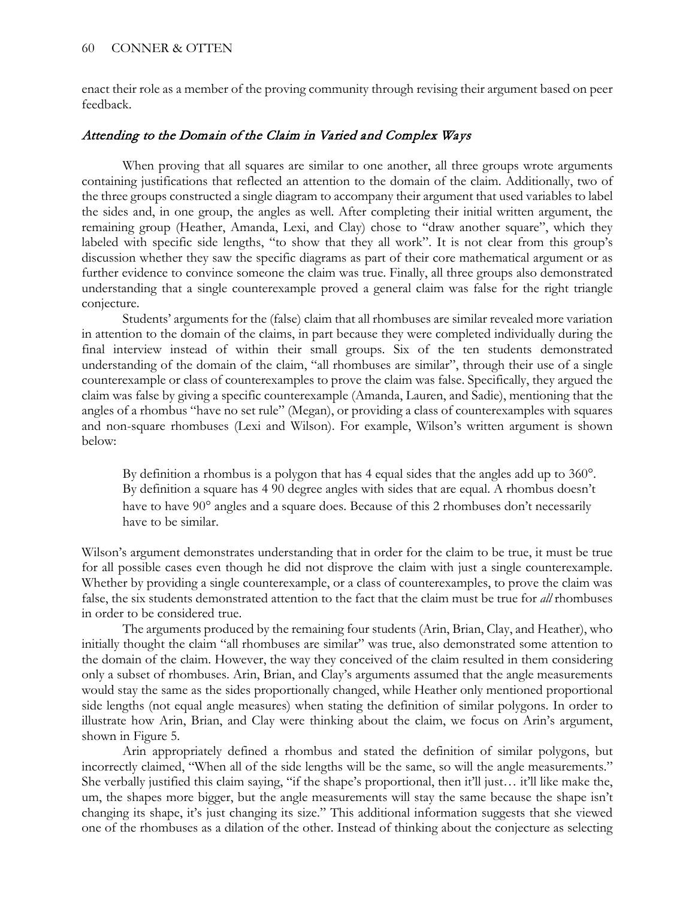enact their role as a member of the proving community through revising their argument based on peer feedback.

# Attending to the Domain of the Claim in Varied and Complex Ways

When proving that all squares are similar to one another, all three groups wrote arguments containing justifications that reflected an attention to the domain of the claim. Additionally, two of the three groups constructed a single diagram to accompany their argument that used variables to label the sides and, in one group, the angles as well. After completing their initial written argument, the remaining group (Heather, Amanda, Lexi, and Clay) chose to "draw another square", which they labeled with specific side lengths, "to show that they all work". It is not clear from this group's discussion whether they saw the specific diagrams as part of their core mathematical argument or as further evidence to convince someone the claim was true. Finally, all three groups also demonstrated understanding that a single counterexample proved a general claim was false for the right triangle conjecture.

Students' arguments for the (false) claim that all rhombuses are similar revealed more variation in attention to the domain of the claims, in part because they were completed individually during the final interview instead of within their small groups. Six of the ten students demonstrated understanding of the domain of the claim, "all rhombuses are similar", through their use of a single counterexample or class of counterexamples to prove the claim was false. Specifically, they argued the claim was false by giving a specific counterexample (Amanda, Lauren, and Sadie), mentioning that the angles of a rhombus "have no set rule" (Megan), or providing a class of counterexamples with squares and non-square rhombuses (Lexi and Wilson). For example, Wilson's written argument is shown below:

By definition a rhombus is a polygon that has 4 equal sides that the angles add up to 360°. By definition a square has 4 90 degree angles with sides that are equal. A rhombus doesn't have to have 90<sup>°</sup> angles and a square does. Because of this 2 rhombuses don't necessarily have to be similar.

Wilson's argument demonstrates understanding that in order for the claim to be true, it must be true for all possible cases even though he did not disprove the claim with just a single counterexample. Whether by providing a single counterexample, or a class of counterexamples, to prove the claim was false, the six students demonstrated attention to the fact that the claim must be true for *all* rhombuses in order to be considered true.

The arguments produced by the remaining four students (Arin, Brian, Clay, and Heather), who initially thought the claim "all rhombuses are similar" was true, also demonstrated some attention to the domain of the claim. However, the way they conceived of the claim resulted in them considering only a subset of rhombuses. Arin, Brian, and Clay's arguments assumed that the angle measurements would stay the same as the sides proportionally changed, while Heather only mentioned proportional side lengths (not equal angle measures) when stating the definition of similar polygons. In order to illustrate how Arin, Brian, and Clay were thinking about the claim, we focus on Arin's argument, shown in Figure 5.

Arin appropriately defined a rhombus and stated the definition of similar polygons, but incorrectly claimed, "When all of the side lengths will be the same, so will the angle measurements." She verbally justified this claim saying, "if the shape's proportional, then it'll just… it'll like make the, um, the shapes more bigger, but the angle measurements will stay the same because the shape isn't changing its shape, it's just changing its size." This additional information suggests that she viewed one of the rhombuses as a dilation of the other. Instead of thinking about the conjecture as selecting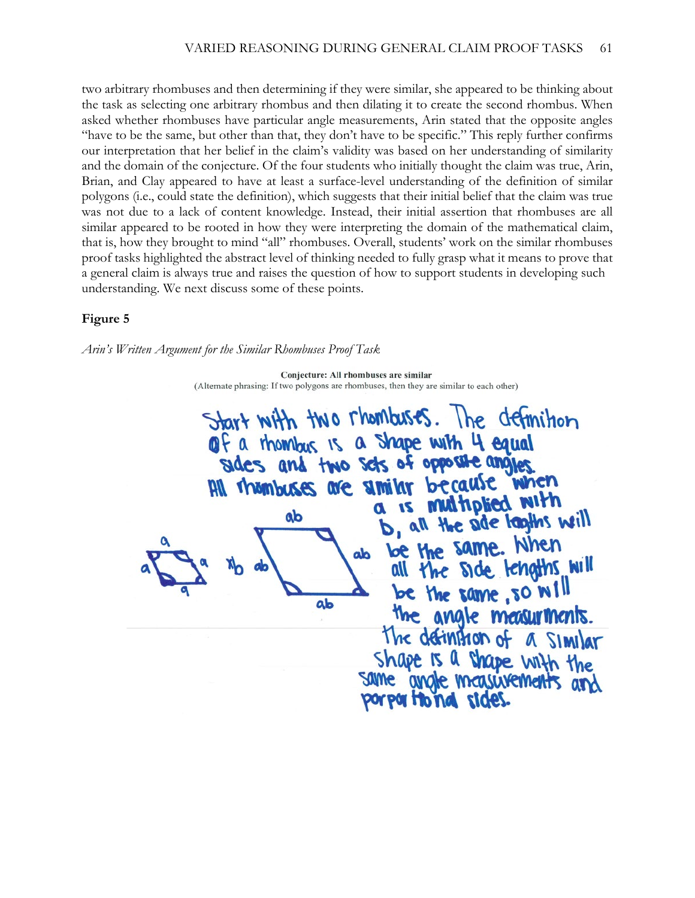two arbitrary rhombuses and then determining if they were similar, she appeared to be thinking about the task as selecting one arbitrary rhombus and then dilating it to create the second rhombus. When asked whether rhombuses have particular angle measurements, Arin stated that the opposite angles "have to be the same, but other than that, they don't have to be specific." This reply further confirms our interpretation that her belief in the claim's validity was based on her understanding of similarity and the domain of the conjecture. Of the four students who initially thought the claim was true, Arin, Brian, and Clay appeared to have at least a surface-level understanding of the definition of similar polygons (i.e., could state the definition), which suggests that their initial belief that the claim was true was not due to a lack of content knowledge. Instead, their initial assertion that rhombuses are all similar appeared to be rooted in how they were interpreting the domain of the mathematical claim, that is, how they brought to mind "all" rhombuses. Overall, students' work on the similar rhombuses proof tasks highlighted the abstract level of thinking needed to fully grasp what it means to prove that a general claim is always true and raises the question of how to support students in developing such understanding. We next discuss some of these points.

## **Figure 5**

*Arin's Written Argument for the Similar Rhombuses Proof Task*

Conjecture: All rhombuses are similar (Alternate phrasing: If two polygons are rhombuses, then they are similar to each other)

Start with two rhombuses. The definition of a thombus is a shape with 4 equal sides and two sets of opposite angles All thembuses are similar because when a is multiplied with ab b, all the ade looths will be the same. When do all the side tengths will be the same, so will ab the angle measurments. the definition of a similar Shape is a shape with the same angle measurements and porpartional sides.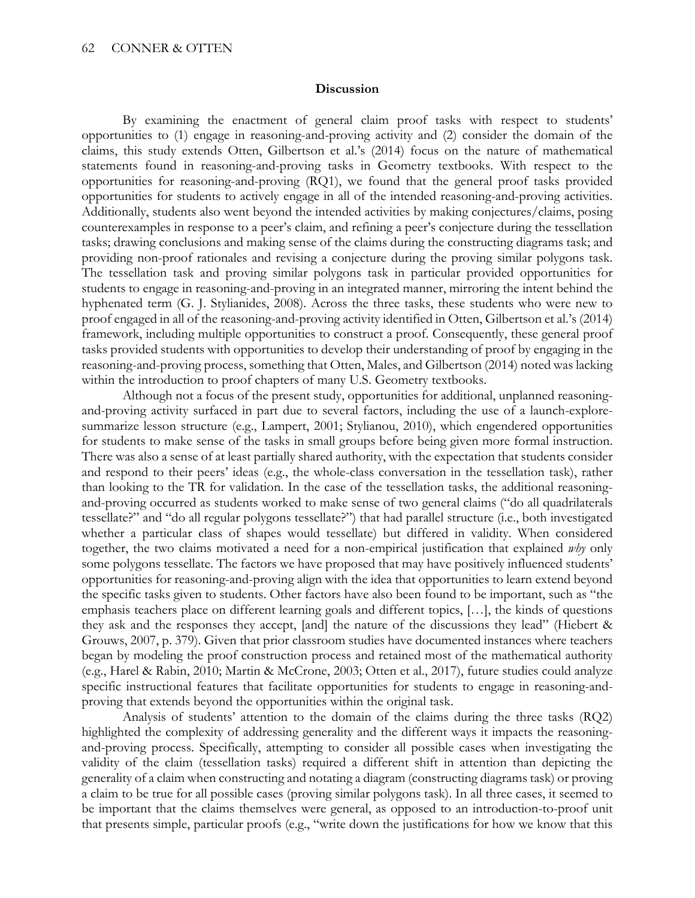#### **Discussion**

By examining the enactment of general claim proof tasks with respect to students' opportunities to (1) engage in reasoning-and-proving activity and (2) consider the domain of the claims, this study extends Otten, Gilbertson et al.'s (2014) focus on the nature of mathematical statements found in reasoning-and-proving tasks in Geometry textbooks. With respect to the opportunities for reasoning-and-proving (RQ1), we found that the general proof tasks provided opportunities for students to actively engage in all of the intended reasoning-and-proving activities. Additionally, students also went beyond the intended activities by making conjectures/claims, posing counterexamples in response to a peer's claim, and refining a peer's conjecture during the tessellation tasks; drawing conclusions and making sense of the claims during the constructing diagrams task; and providing non-proof rationales and revising a conjecture during the proving similar polygons task. The tessellation task and proving similar polygons task in particular provided opportunities for students to engage in reasoning-and-proving in an integrated manner, mirroring the intent behind the hyphenated term (G. J. Stylianides, 2008). Across the three tasks, these students who were new to proof engaged in all of the reasoning-and-proving activity identified in Otten, Gilbertson et al.'s (2014) framework, including multiple opportunities to construct a proof. Consequently, these general proof tasks provided students with opportunities to develop their understanding of proof by engaging in the reasoning-and-proving process, something that Otten, Males, and Gilbertson (2014) noted was lacking within the introduction to proof chapters of many U.S. Geometry textbooks.

Although not a focus of the present study, opportunities for additional, unplanned reasoningand-proving activity surfaced in part due to several factors, including the use of a launch-exploresummarize lesson structure (e.g., Lampert, 2001; Stylianou, 2010), which engendered opportunities for students to make sense of the tasks in small groups before being given more formal instruction. There was also a sense of at least partially shared authority, with the expectation that students consider and respond to their peers' ideas (e.g., the whole-class conversation in the tessellation task), rather than looking to the TR for validation. In the case of the tessellation tasks, the additional reasoningand-proving occurred as students worked to make sense of two general claims ("do all quadrilaterals tessellate?" and "do all regular polygons tessellate?") that had parallel structure (i.e., both investigated whether a particular class of shapes would tessellate) but differed in validity. When considered together, the two claims motivated a need for a non-empirical justification that explained *why* only some polygons tessellate. The factors we have proposed that may have positively influenced students' opportunities for reasoning-and-proving align with the idea that opportunities to learn extend beyond the specific tasks given to students. Other factors have also been found to be important, such as "the emphasis teachers place on different learning goals and different topics, […], the kinds of questions they ask and the responses they accept, [and] the nature of the discussions they lead" (Hiebert & Grouws, 2007, p. 379). Given that prior classroom studies have documented instances where teachers began by modeling the proof construction process and retained most of the mathematical authority (e.g., Harel & Rabin, 2010; Martin & McCrone, 2003; Otten et al., 2017), future studies could analyze specific instructional features that facilitate opportunities for students to engage in reasoning-andproving that extends beyond the opportunities within the original task.

Analysis of students' attention to the domain of the claims during the three tasks (RQ2) highlighted the complexity of addressing generality and the different ways it impacts the reasoningand-proving process. Specifically, attempting to consider all possible cases when investigating the validity of the claim (tessellation tasks) required a different shift in attention than depicting the generality of a claim when constructing and notating a diagram (constructing diagrams task) or proving a claim to be true for all possible cases (proving similar polygons task). In all three cases, it seemed to be important that the claims themselves were general, as opposed to an introduction-to-proof unit that presents simple, particular proofs (e.g., "write down the justifications for how we know that this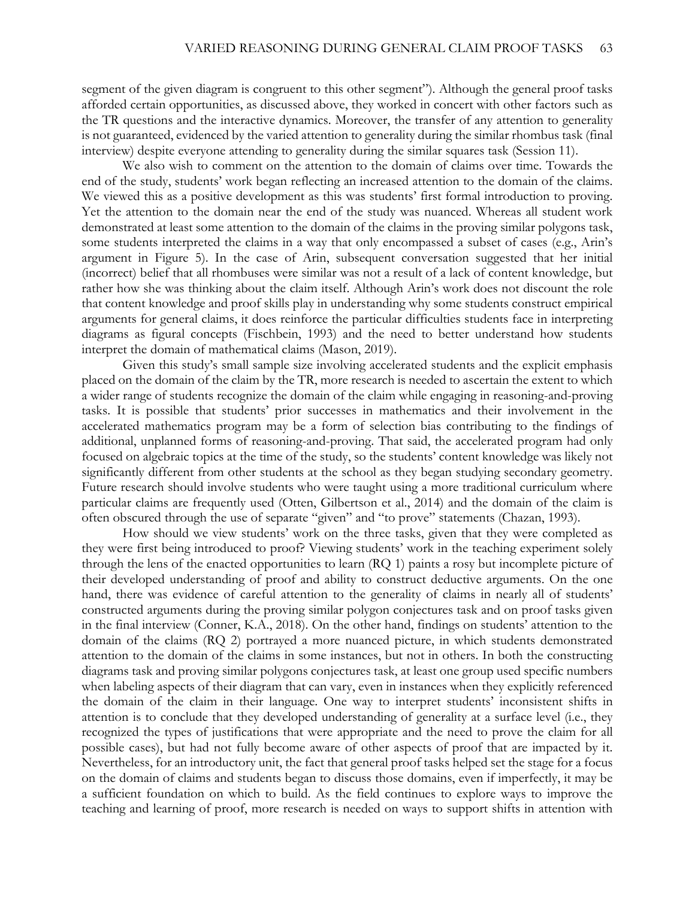segment of the given diagram is congruent to this other segment"). Although the general proof tasks afforded certain opportunities, as discussed above, they worked in concert with other factors such as the TR questions and the interactive dynamics. Moreover, the transfer of any attention to generality is not guaranteed, evidenced by the varied attention to generality during the similar rhombus task (final interview) despite everyone attending to generality during the similar squares task (Session 11).

We also wish to comment on the attention to the domain of claims over time. Towards the end of the study, students' work began reflecting an increased attention to the domain of the claims. We viewed this as a positive development as this was students' first formal introduction to proving. Yet the attention to the domain near the end of the study was nuanced. Whereas all student work demonstrated at least some attention to the domain of the claims in the proving similar polygons task, some students interpreted the claims in a way that only encompassed a subset of cases (e.g., Arin's argument in Figure 5). In the case of Arin, subsequent conversation suggested that her initial (incorrect) belief that all rhombuses were similar was not a result of a lack of content knowledge, but rather how she was thinking about the claim itself. Although Arin's work does not discount the role that content knowledge and proof skills play in understanding why some students construct empirical arguments for general claims, it does reinforce the particular difficulties students face in interpreting diagrams as figural concepts (Fischbein, 1993) and the need to better understand how students interpret the domain of mathematical claims (Mason, 2019).

Given this study's small sample size involving accelerated students and the explicit emphasis placed on the domain of the claim by the TR, more research is needed to ascertain the extent to which a wider range of students recognize the domain of the claim while engaging in reasoning-and-proving tasks. It is possible that students' prior successes in mathematics and their involvement in the accelerated mathematics program may be a form of selection bias contributing to the findings of additional, unplanned forms of reasoning-and-proving. That said, the accelerated program had only focused on algebraic topics at the time of the study, so the students' content knowledge was likely not significantly different from other students at the school as they began studying secondary geometry. Future research should involve students who were taught using a more traditional curriculum where particular claims are frequently used (Otten, Gilbertson et al., 2014) and the domain of the claim is often obscured through the use of separate "given" and "to prove" statements (Chazan, 1993).

How should we view students' work on the three tasks, given that they were completed as they were first being introduced to proof? Viewing students' work in the teaching experiment solely through the lens of the enacted opportunities to learn (RQ 1) paints a rosy but incomplete picture of their developed understanding of proof and ability to construct deductive arguments. On the one hand, there was evidence of careful attention to the generality of claims in nearly all of students' constructed arguments during the proving similar polygon conjectures task and on proof tasks given in the final interview (Conner, K.A., 2018). On the other hand, findings on students' attention to the domain of the claims (RQ 2) portrayed a more nuanced picture, in which students demonstrated attention to the domain of the claims in some instances, but not in others. In both the constructing diagrams task and proving similar polygons conjectures task, at least one group used specific numbers when labeling aspects of their diagram that can vary, even in instances when they explicitly referenced the domain of the claim in their language. One way to interpret students' inconsistent shifts in attention is to conclude that they developed understanding of generality at a surface level (i.e., they recognized the types of justifications that were appropriate and the need to prove the claim for all possible cases), but had not fully become aware of other aspects of proof that are impacted by it. Nevertheless, for an introductory unit, the fact that general proof tasks helped set the stage for a focus on the domain of claims and students began to discuss those domains, even if imperfectly, it may be a sufficient foundation on which to build. As the field continues to explore ways to improve the teaching and learning of proof, more research is needed on ways to support shifts in attention with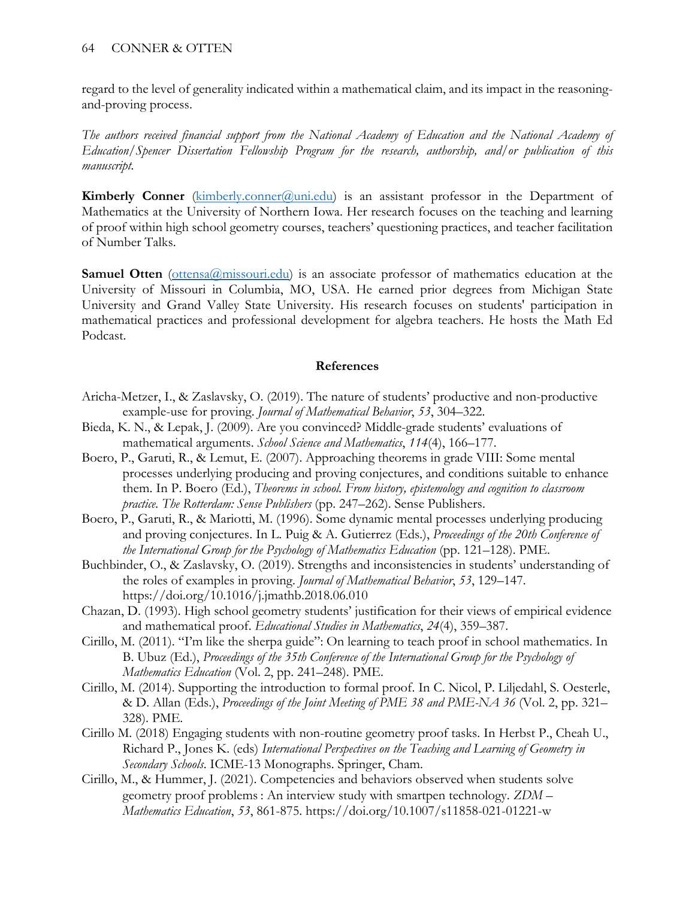regard to the level of generality indicated within a mathematical claim, and its impact in the reasoningand-proving process.

*The authors received financial support from the National Academy of Education and the National Academy of Education/Spencer Dissertation Fellowship Program for the research, authorship, and/or publication of this manuscript.*

**Kimberly Conner** [\(kimberly.conner@uni.edu\)](mailto:kimberly.conner@uni.edu) is an assistant professor in the Department of Mathematics at the University of Northern Iowa. Her research focuses on the teaching and learning of proof within high school geometry courses, teachers' questioning practices, and teacher facilitation of Number Talks.

**Samuel Otten** [\(ottensa@missouri.edu\)](mailto:ottensa@missouri.edu) is an associate professor of mathematics education at the University of Missouri in Columbia, MO, USA. He earned prior degrees from Michigan State University and Grand Valley State University. His research focuses on students' participation in mathematical practices and professional development for algebra teachers. He hosts the Math Ed Podcast.

# **References**

- Aricha-Metzer, I., & Zaslavsky, O. (2019). The nature of students' productive and non-productive example-use for proving. *Journal of Mathematical Behavior*, *53*, 304–322.
- Bieda, K. N., & Lepak, J. (2009). Are you convinced? Middle-grade students' evaluations of mathematical arguments. *School Science and Mathematics*, *114*(4), 166–177.
- Boero, P., Garuti, R., & Lemut, E. (2007). Approaching theorems in grade VIII: Some mental processes underlying producing and proving conjectures, and conditions suitable to enhance them. In P. Boero (Ed.), *Theorems in school. From history, epistemology and cognition to classroom practice. The Rotterdam: Sense Publishers* (pp. 247–262). Sense Publishers.
- Boero, P., Garuti, R., & Mariotti, M. (1996). Some dynamic mental processes underlying producing and proving conjectures. In L. Puig & A. Gutierrez (Eds.), *Proceedings of the 20th Conference of the International Group for the Psychology of Mathematics Education* (pp. 121–128). PME.
- Buchbinder, O., & Zaslavsky, O. (2019). Strengths and inconsistencies in students' understanding of the roles of examples in proving. *Journal of Mathematical Behavior*, *53*, 129–147. https://doi.org/10.1016/j.jmathb.2018.06.010
- Chazan, D. (1993). High school geometry students' justification for their views of empirical evidence and mathematical proof. *Educational Studies in Mathematics*, *24*(4), 359–387.
- Cirillo, M. (2011). "I'm like the sherpa guide": On learning to teach proof in school mathematics. In B. Ubuz (Ed.), *Proceedings of the 35th Conference of the International Group for the Psychology of Mathematics Education* (Vol. 2, pp. 241–248). PME.
- Cirillo, M. (2014). Supporting the introduction to formal proof. In C. Nicol, P. Liljedahl, S. Oesterle, & D. Allan (Eds.), *Proceedings of the Joint Meeting of PME 38 and PME-NA 36* (Vol. 2, pp. 321– 328). PME.
- Cirillo M. (2018) Engaging students with non-routine geometry proof tasks. In Herbst P., Cheah U., Richard P., Jones K. (eds) *International Perspectives on the Teaching and Learning of Geometry in Secondary Schools*. ICME-13 Monographs. Springer, Cham.
- Cirillo, M., & Hummer, J. (2021). Competencies and behaviors observed when students solve geometry proof problems : An interview study with smartpen technology. *ZDM – Mathematics Education*, *53*, 861-875. https://doi.org/10.1007/s11858-021-01221-w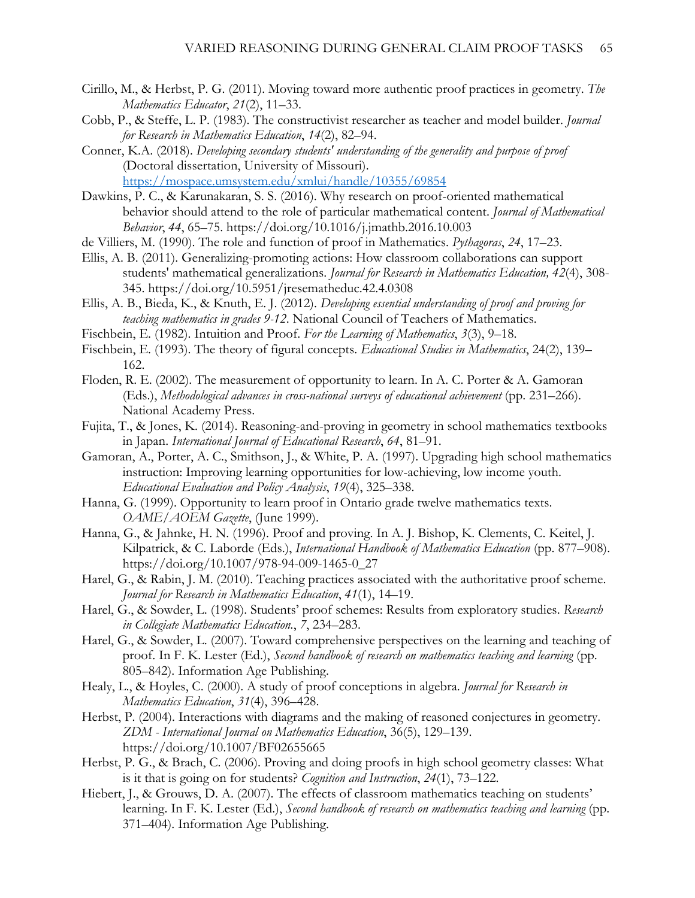- Cirillo, M., & Herbst, P. G. (2011). Moving toward more authentic proof practices in geometry. *The Mathematics Educator*, *21*(2), 11–33.
- Cobb, P., & Steffe, L. P. (1983). The constructivist researcher as teacher and model builder. *Journal for Research in Mathematics Education*, *14*(2), 82–94.
- Conner, K.A. (2018). *Developing secondary students' understanding of the generality and purpose of proof*  (Doctoral dissertation, University of Missouri). <https://mospace.umsystem.edu/xmlui/handle/10355/69854>
- Dawkins, P. C., & Karunakaran, S. S. (2016). Why research on proof-oriented mathematical behavior should attend to the role of particular mathematical content. *Journal of Mathematical Behavior*, *44*, 65–75. https://doi.org/10.1016/j.jmathb.2016.10.003
- de Villiers, M. (1990). The role and function of proof in Mathematics. *Pythagoras*, *24*, 17–23.
- Ellis, A. B. (2011). Generalizing-promoting actions: How classroom collaborations can support students' mathematical generalizations. *Journal for Research in Mathematics Education, 42*(4), 308- 345. https://doi.org/10.5951/jresematheduc.42.4.0308
- Ellis, A. B., Bieda, K., & Knuth, E. J. (2012). *Developing essential understanding of proof and proving for teaching mathematics in grades 9-12*. National Council of Teachers of Mathematics.
- Fischbein, E. (1982). Intuition and Proof. *For the Learning of Mathematics*, *3*(3), 9–18.
- Fischbein, E. (1993). The theory of figural concepts. *Educational Studies in Mathematics*, 24(2), 139– 162.
- Floden, R. E. (2002). The measurement of opportunity to learn. In A. C. Porter & A. Gamoran (Eds.), *Methodological advances in cross-national surveys of educational achievement* (pp. 231–266). National Academy Press.
- Fujita, T., & Jones, K. (2014). Reasoning-and-proving in geometry in school mathematics textbooks in Japan. *International Journal of Educational Research*, *64*, 81–91.
- Gamoran, A., Porter, A. C., Smithson, J., & White, P. A. (1997). Upgrading high school mathematics instruction: Improving learning opportunities for low-achieving, low income youth. *Educational Evaluation and Policy Analysis*, *19*(4), 325–338.
- Hanna, G. (1999). Opportunity to learn proof in Ontario grade twelve mathematics texts. *OAME/AOEM Gazette*, (June 1999).
- Hanna, G., & Jahnke, H. N. (1996). Proof and proving. In A. J. Bishop, K. Clements, C. Keitel, J. Kilpatrick, & C. Laborde (Eds.), *International Handbook of Mathematics Education* (pp. 877–908). https://doi.org/10.1007/978-94-009-1465-0\_27
- Harel, G., & Rabin, J. M. (2010). Teaching practices associated with the authoritative proof scheme. *Journal for Research in Mathematics Education*, *41*(1), 14–19.
- Harel, G., & Sowder, L. (1998). Students' proof schemes: Results from exploratory studies. *Research in Collegiate Mathematics Education.*, *7*, 234–283.
- Harel, G., & Sowder, L. (2007). Toward comprehensive perspectives on the learning and teaching of proof. In F. K. Lester (Ed.), *Second handbook of research on mathematics teaching and learning* (pp. 805–842). Information Age Publishing.
- Healy, L., & Hoyles, C. (2000). A study of proof conceptions in algebra. *Journal for Research in Mathematics Education*, *31*(4), 396–428.
- Herbst, P. (2004). Interactions with diagrams and the making of reasoned conjectures in geometry. *ZDM - International Journal on Mathematics Education*, 36(5), 129–139. https://doi.org/10.1007/BF02655665
- Herbst, P. G., & Brach, C. (2006). Proving and doing proofs in high school geometry classes: What is it that is going on for students? *Cognition and Instruction*, *24*(1), 73–122.
- Hiebert, J., & Grouws, D. A. (2007). The effects of classroom mathematics teaching on students' learning. In F. K. Lester (Ed.), *Second handbook of research on mathematics teaching and learning* (pp. 371–404). Information Age Publishing.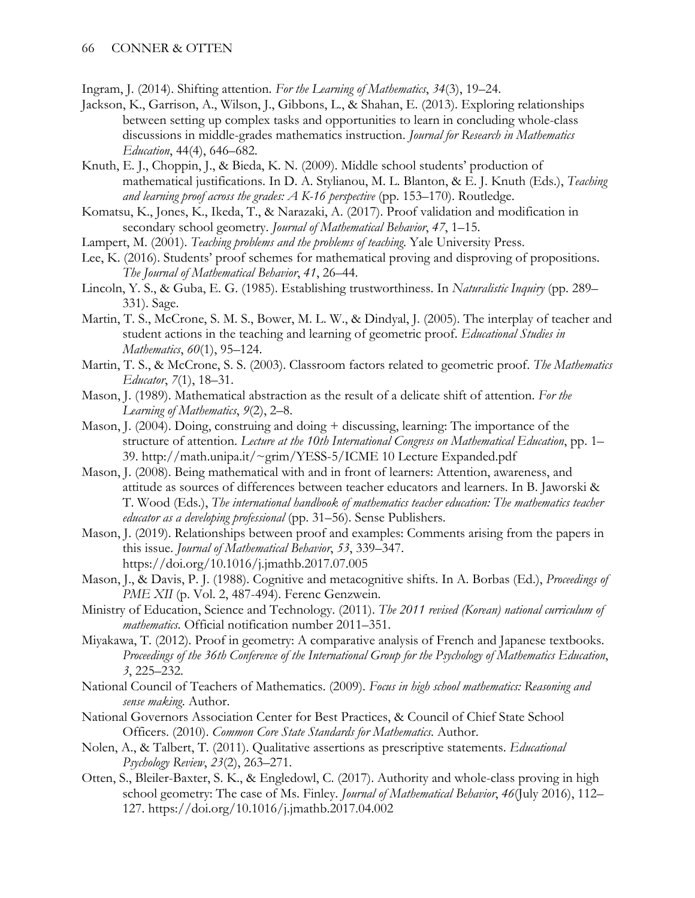Ingram, J. (2014). Shifting attention. *For the Learning of Mathematics*, *34*(3), 19–24.

- Jackson, K., Garrison, A., Wilson, J., Gibbons, L., & Shahan, E. (2013). Exploring relationships between setting up complex tasks and opportunities to learn in concluding whole-class discussions in middle-grades mathematics instruction. *Journal for Research in Mathematics Education*, 44(4), 646–682.
- Knuth, E. J., Choppin, J., & Bieda, K. N. (2009). Middle school students' production of mathematical justifications. In D. A. Stylianou, M. L. Blanton, & E. J. Knuth (Eds.), *Teaching and learning proof across the grades: A K-16 perspective* (pp. 153–170). Routledge.
- Komatsu, K., Jones, K., Ikeda, T., & Narazaki, A. (2017). Proof validation and modification in secondary school geometry. *Journal of Mathematical Behavior*, *47*, 1–15.
- Lampert, M. (2001). *Teaching problems and the problems of teaching*. Yale University Press.
- Lee, K. (2016). Students' proof schemes for mathematical proving and disproving of propositions. *The Journal of Mathematical Behavior*, *41*, 26–44.
- Lincoln, Y. S., & Guba, E. G. (1985). Establishing trustworthiness. In *Naturalistic Inquiry* (pp. 289– 331). Sage.
- Martin, T. S., McCrone, S. M. S., Bower, M. L. W., & Dindyal, J. (2005). The interplay of teacher and student actions in the teaching and learning of geometric proof. *Educational Studies in Mathematics*, *60*(1), 95–124.
- Martin, T. S., & McCrone, S. S. (2003). Classroom factors related to geometric proof. *The Mathematics Educator*, *7*(1), 18–31.
- Mason, J. (1989). Mathematical abstraction as the result of a delicate shift of attention. *For the Learning of Mathematics*, *9*(2), 2–8.
- Mason, J. (2004). Doing, construing and doing + discussing, learning: The importance of the structure of attention. *Lecture at the 10th International Congress on Mathematical Education*, pp. 1– 39. http://math.unipa.it/~grim/YESS-5/ICME 10 Lecture Expanded.pdf
- Mason, J. (2008). Being mathematical with and in front of learners: Attention, awareness, and attitude as sources of differences between teacher educators and learners. In B. Jaworski & T. Wood (Eds.), *The international handbook of mathematics teacher education: The mathematics teacher educator as a developing professional* (pp. 31–56). Sense Publishers.
- Mason, J. (2019). Relationships between proof and examples: Comments arising from the papers in this issue. *Journal of Mathematical Behavior*, *53*, 339–347. https://doi.org/10.1016/j.jmathb.2017.07.005
- Mason, J., & Davis, P. J. (1988). Cognitive and metacognitive shifts. In A. Borbas (Ed.), *Proceedings of PME XII* (p. Vol. 2, 487-494). Ferenc Genzwein.
- Ministry of Education, Science and Technology. (2011). *The 2011 revised (Korean) national curriculum of mathematics*. Official notification number 2011–351.
- Miyakawa, T. (2012). Proof in geometry: A comparative analysis of French and Japanese textbooks. *Proceedings of the 36th Conference of the International Group for the Psychology of Mathematics Education*, *3*, 225–232.
- National Council of Teachers of Mathematics. (2009). *Focus in high school mathematics: Reasoning and sense making*. Author.
- National Governors Association Center for Best Practices, & Council of Chief State School Officers. (2010). *Common Core State Standards for Mathematics*. Author.
- Nolen, A., & Talbert, T. (2011). Qualitative assertions as prescriptive statements. *Educational Psychology Review*, *23*(2), 263–271.
- Otten, S., Bleiler-Baxter, S. K., & Engledowl, C. (2017). Authority and whole-class proving in high school geometry: The case of Ms. Finley. *Journal of Mathematical Behavior*, *46*(July 2016), 112– 127. https://doi.org/10.1016/j.jmathb.2017.04.002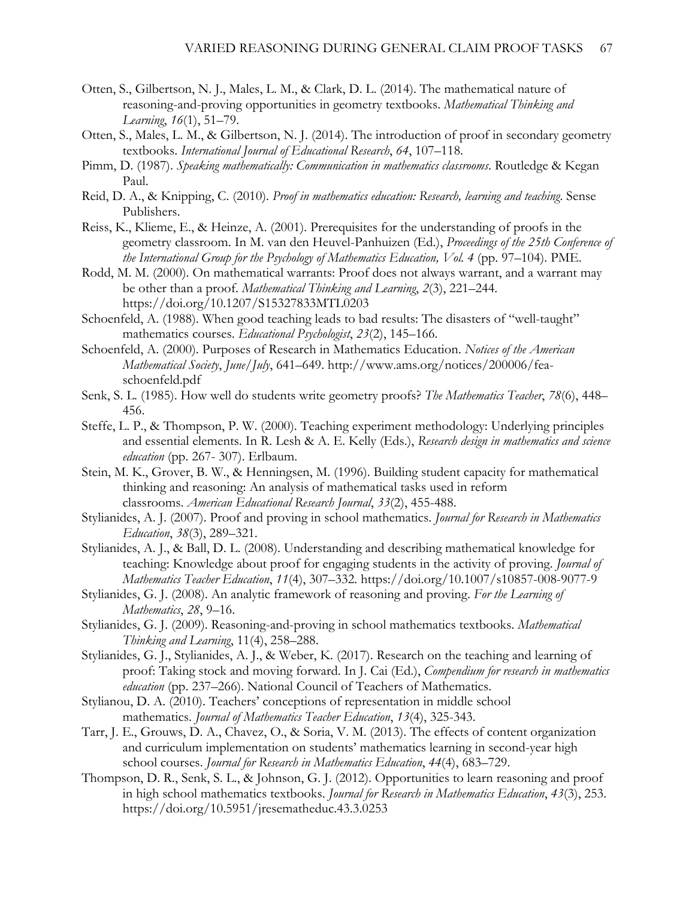- Otten, S., Gilbertson, N. J., Males, L. M., & Clark, D. L. (2014). The mathematical nature of reasoning-and-proving opportunities in geometry textbooks. *Mathematical Thinking and Learning*, *16*(1), 51–79.
- Otten, S., Males, L. M., & Gilbertson, N. J. (2014). The introduction of proof in secondary geometry textbooks. *International Journal of Educational Research*, *64*, 107–118.
- Pimm, D. (1987). *Speaking mathematically: Communication in mathematics classrooms*. Routledge & Kegan Paul.
- Reid, D. A., & Knipping, C. (2010). *Proof in mathematics education: Research, learning and teaching*. Sense Publishers.
- Reiss, K., Klieme, E., & Heinze, A. (2001). Prerequisites for the understanding of proofs in the geometry classroom. In M. van den Heuvel-Panhuizen (Ed.), *Proceedings of the 25th Conference of the International Group for the Psychology of Mathematics Education, Vol. 4* (pp. 97–104). PME.
- Rodd, M. M. (2000). On mathematical warrants: Proof does not always warrant, and a warrant may be other than a proof. *Mathematical Thinking and Learning*, *2*(3), 221–244. https://doi.org/10.1207/S15327833MTL0203
- Schoenfeld, A. (1988). When good teaching leads to bad results: The disasters of "well-taught" mathematics courses. *Educational Psychologist*, *23*(2), 145–166.
- Schoenfeld, A. (2000). Purposes of Research in Mathematics Education. *Notices of the American Mathematical Society*, *June/July*, 641–649. http://www.ams.org/notices/200006/feaschoenfeld.pdf
- Senk, S. L. (1985). How well do students write geometry proofs? *The Mathematics Teacher*, *78*(6), 448– 456.
- Steffe, L. P., & Thompson, P. W. (2000). Teaching experiment methodology: Underlying principles and essential elements. In R. Lesh & A. E. Kelly (Eds.), *Research design in mathematics and science education* (pp. 267- 307). Erlbaum.
- Stein, M. K., Grover, B. W., & Henningsen, M. (1996). Building student capacity for mathematical thinking and reasoning: An analysis of mathematical tasks used in reform classrooms. *American Educational Research Journal*, *33*(2), 455-488.
- Stylianides, A. J. (2007). Proof and proving in school mathematics. *Journal for Research in Mathematics Education*, *38*(3), 289–321.
- Stylianides, A. J., & Ball, D. L. (2008). Understanding and describing mathematical knowledge for teaching: Knowledge about proof for engaging students in the activity of proving. *Journal of Mathematics Teacher Education*, *11*(4), 307–332. https://doi.org/10.1007/s10857-008-9077-9
- Stylianides, G. J. (2008). An analytic framework of reasoning and proving. *For the Learning of Mathematics*, *28*, 9–16.
- Stylianides, G. J. (2009). Reasoning-and-proving in school mathematics textbooks. *Mathematical Thinking and Learning*, 11(4), 258–288.
- Stylianides, G. J., Stylianides, A. J., & Weber, K. (2017). Research on the teaching and learning of proof: Taking stock and moving forward. In J. Cai (Ed.), *Compendium for research in mathematics education* (pp. 237–266). National Council of Teachers of Mathematics.
- Stylianou, D. A. (2010). Teachers' conceptions of representation in middle school mathematics. *Journal of Mathematics Teacher Education*, *13*(4), 325-343.
- Tarr, J. E., Grouws, D. A., Chavez, O., & Soria, V. M. (2013). The effects of content organization and curriculum implementation on students' mathematics learning in second-year high school courses. *Journal for Research in Mathematics Education*, *44*(4), 683–729.
- Thompson, D. R., Senk, S. L., & Johnson, G. J. (2012). Opportunities to learn reasoning and proof in high school mathematics textbooks. *Journal for Research in Mathematics Education*, *43*(3), 253. https://doi.org/10.5951/jresematheduc.43.3.0253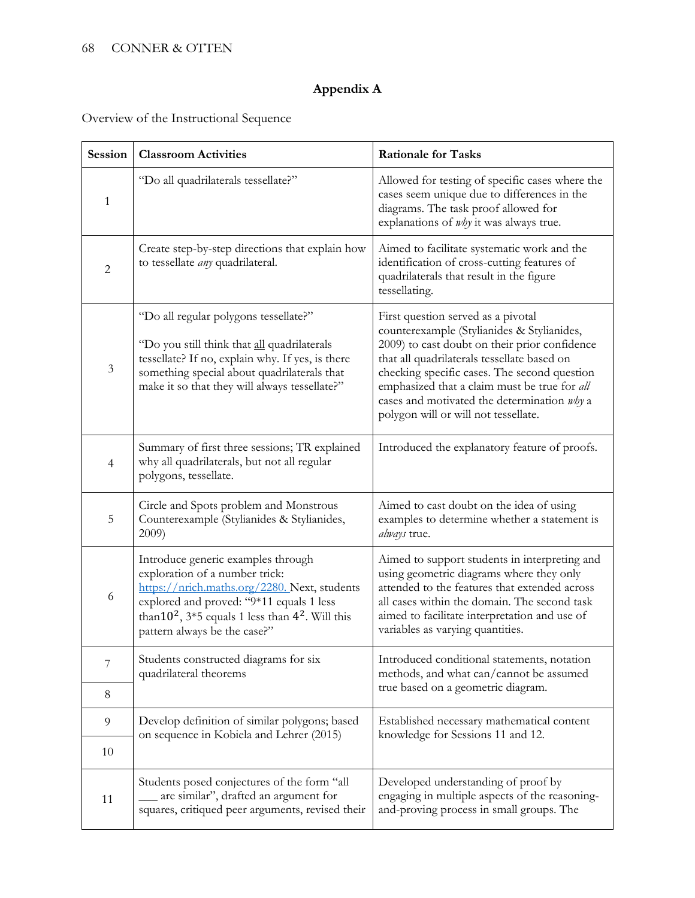# **Appendix A**

Overview of the Instructional Sequence

| Session        | <b>Classroom Activities</b>                                                                                                                                                                                                                                  | <b>Rationale for Tasks</b>                                                                                                                                                                                                                                                                                                                                              |
|----------------|--------------------------------------------------------------------------------------------------------------------------------------------------------------------------------------------------------------------------------------------------------------|-------------------------------------------------------------------------------------------------------------------------------------------------------------------------------------------------------------------------------------------------------------------------------------------------------------------------------------------------------------------------|
| $\mathbf{1}$   | "Do all quadrilaterals tessellate?"                                                                                                                                                                                                                          | Allowed for testing of specific cases where the<br>cases seem unique due to differences in the<br>diagrams. The task proof allowed for<br>explanations of <i>why</i> it was always true.                                                                                                                                                                                |
| $\overline{c}$ | Create step-by-step directions that explain how<br>to tessellate <i>any</i> quadrilateral.                                                                                                                                                                   | Aimed to facilitate systematic work and the<br>identification of cross-cutting features of<br>quadrilaterals that result in the figure<br>tessellating.                                                                                                                                                                                                                 |
| $\mathfrak{Z}$ | "Do all regular polygons tessellate?"<br>"Do you still think that all quadrilaterals<br>tessellate? If no, explain why. If yes, is there<br>something special about quadrilaterals that<br>make it so that they will always tessellate?"                     | First question served as a pivotal<br>counterexample (Stylianides & Stylianides,<br>2009) to cast doubt on their prior confidence<br>that all quadrilaterals tessellate based on<br>checking specific cases. The second question<br>emphasized that a claim must be true for all<br>cases and motivated the determination why a<br>polygon will or will not tessellate. |
| 4              | Summary of first three sessions; TR explained<br>why all quadrilaterals, but not all regular<br>polygons, tessellate.                                                                                                                                        | Introduced the explanatory feature of proofs.                                                                                                                                                                                                                                                                                                                           |
| 5              | Circle and Spots problem and Monstrous<br>Counterexample (Stylianides & Stylianides,<br>2009)                                                                                                                                                                | Aimed to cast doubt on the idea of using<br>examples to determine whether a statement is<br>always true.                                                                                                                                                                                                                                                                |
| 6              | Introduce generic examples through<br>exploration of a number trick:<br>https://nrich.maths.org/2280. Next, students<br>explored and proved: "9*11 equals 1 less<br>than $10^2$ , $3*5$ equals 1 less than $4^2$ . Will this<br>pattern always be the case?" | Aimed to support students in interpreting and<br>using geometric diagrams where they only<br>attended to the features that extended across<br>all cases within the domain. The second task<br>aimed to facilitate interpretation and use of<br>variables as varying quantities.                                                                                         |
| 7              | Students constructed diagrams for six<br>quadrilateral theorems                                                                                                                                                                                              | Introduced conditional statements, notation<br>methods, and what can/cannot be assumed                                                                                                                                                                                                                                                                                  |
| 8              |                                                                                                                                                                                                                                                              | true based on a geometric diagram.                                                                                                                                                                                                                                                                                                                                      |
| 9              | Develop definition of similar polygons; based                                                                                                                                                                                                                | Established necessary mathematical content                                                                                                                                                                                                                                                                                                                              |
| 10             | on sequence in Kobiela and Lehrer (2015)                                                                                                                                                                                                                     | knowledge for Sessions 11 and 12.                                                                                                                                                                                                                                                                                                                                       |
| 11             | Students posed conjectures of the form "all<br>are similar", drafted an argument for<br>squares, critiqued peer arguments, revised their                                                                                                                     | Developed understanding of proof by<br>engaging in multiple aspects of the reasoning-<br>and-proving process in small groups. The                                                                                                                                                                                                                                       |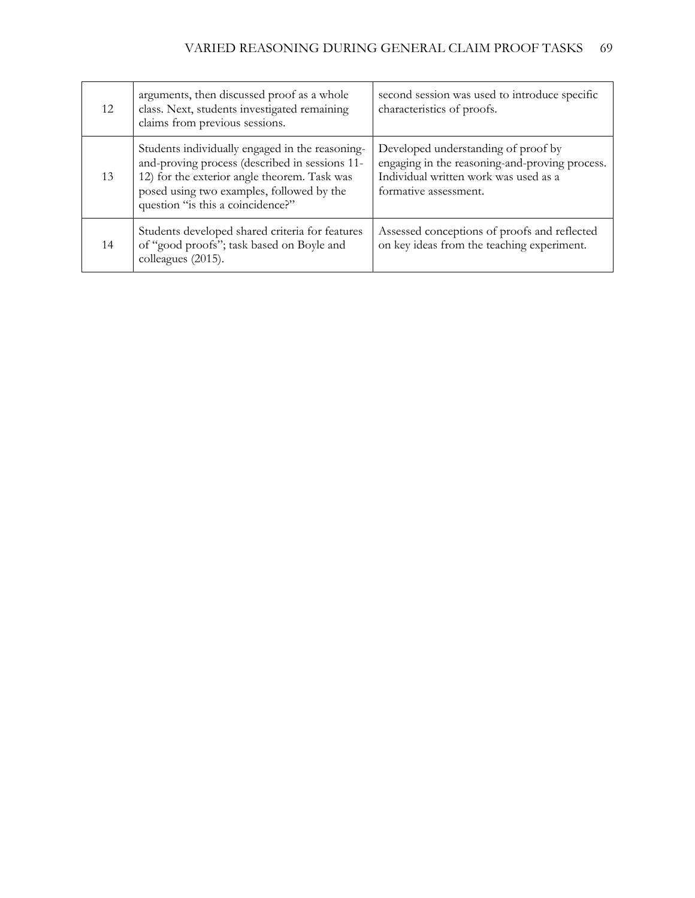| 12 | arguments, then discussed proof as a whole<br>class. Next, students investigated remaining<br>claims from previous sessions.                                                                                                        | second session was used to introduce specific<br>characteristics of proofs.                                                                             |
|----|-------------------------------------------------------------------------------------------------------------------------------------------------------------------------------------------------------------------------------------|---------------------------------------------------------------------------------------------------------------------------------------------------------|
| 13 | Students individually engaged in the reasoning-<br>and-proving process (described in sessions 11-<br>12) for the exterior angle theorem. Task was<br>posed using two examples, followed by the<br>question "is this a coincidence?" | Developed understanding of proof by<br>engaging in the reasoning-and-proving process.<br>Individual written work was used as a<br>formative assessment. |
| 14 | Students developed shared criteria for features<br>of "good proofs"; task based on Boyle and<br>colleagues (2015).                                                                                                                  | Assessed conceptions of proofs and reflected<br>on key ideas from the teaching experiment.                                                              |